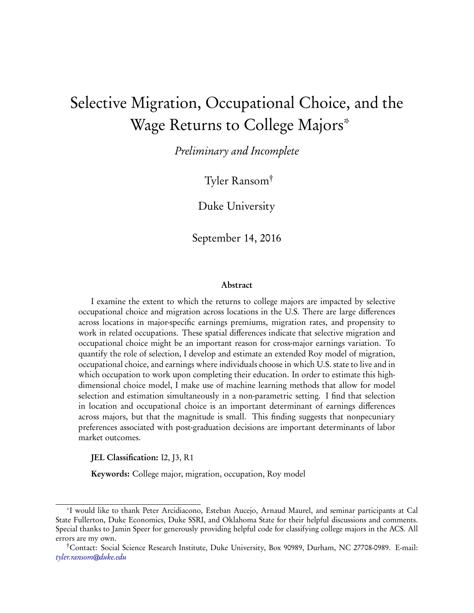# Selective Migration, Occupational Choice, and the Wage Returns to College Majors\*

Preliminary and Incomplete

Tyler Ransom†

Duke University

September 14, 2016

#### Abstract

I examine the extent to which the returns to college majors are impacted by selective occupational choice and migration across locations in the U.S. There are large differences across locations in major-specific earnings premiums, migration rates, and propensity to work in related occupations. These spatial differences indicate that selective migration and occupational choice might be an important reason for cross-major earnings variation. To quantify the role of selection, I develop and estimate an extended Roy model of migration, occupational choice, and earnings where individuals choose in which U.S. state to live and in which occupation to work upon completing their education. In order to estimate this highdimensional choice model, I make use of machine learning methods that allow for model selection and estimation simultaneously in a non-parametric setting. I find that selection in location and occupational choice is an important determinant of earnings differences across majors, but that the magnitude is small. This finding suggests that nonpecuniary preferences associated with post-graduation decisions are important determinants of labor market outcomes.

JEL Classification: I2, J3, R1

Keywords: College major, migration, occupation, Roy model

<sup>\*</sup>I would like to thank Peter Arcidiacono, Esteban Aucejo, Arnaud Maurel, and seminar participants at Cal State Fullerton, Duke Economics, Duke SSRI, and Oklahoma State for their helpful discussions and comments. Special thanks to Jamin Speer for generously providing helpful code for classifying college majors in the ACS. All errors are my own.

<sup>†</sup>Contact: Social Science Research Institute, Duke University, Box 90989, Durham, NC 27708-0989. E-mail: [tyler.ransom@duke.edu](mailto:tyler.ransom@duke.edu)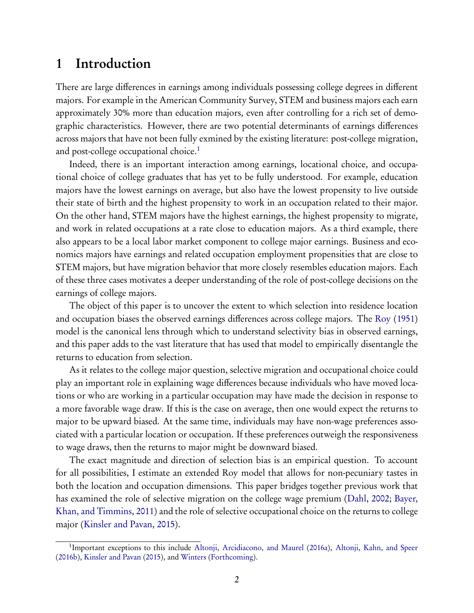## 1 Introduction

There are large differences in earnings among individuals possessing college degrees in different majors. For example in the American Community Survey, STEM and business majors each earn approximately 30% more than education majors, even after controlling for a rich set of demographic characteristics. However, there are two potential determinants of earnings differences across majors that have not been fully exmined by the existing literature: post-college migration, and post-college occupational choice.<sup>[1](#page-1-0)</sup>

Indeed, there is an important interaction among earnings, locational choice, and occupational choice of college graduates that has yet to be fully understood. For example, education majors have the lowest earnings on average, but also have the lowest propensity to live outside their state of birth and the highest propensity to work in an occupation related to their major. On the other hand, STEM majors have the highest earnings, the highest propensity to migrate, and work in related occupations at a rate close to education majors. As a third example, there also appears to be a local labor market component to college major earnings. Business and economics majors have earnings and related occupation employment propensities that are close to STEM majors, but have migration behavior that more closely resembles education majors. Each of these three cases motivates a deeper understanding of the role of post-college decisions on the earnings of college majors.

The object of this paper is to uncover the extent to which selection into residence location and occupation biases the observed earnings differences across college majors. The [Roy](#page-25-0) ([1951](#page-25-0)) model is the canonical lens through which to understand selectivity bias in observed earnings, and this paper adds to the vast literature that has used that model to empirically disentangle the returns to education from selection.

As it relates to the college major question, selective migration and occupational choice could play an important role in explaining wage differences because individuals who have moved locations or who are working in a particular occupation may have made the decision in response to a more favorable wage draw. If this is the case on average, then one would expect the returns to major to be upward biased. At the same time, individuals may have non-wage preferences associated with a particular location or occupation. If these preferences outweigh the responsiveness to wage draws, then the returns to major might be downward biased.

The exact magnitude and direction of selection bias is an empirical question. To account for all possibilities, I estimate an extended Roy model that allows for non-pecuniary tastes in both the location and occupation dimensions. This paper bridges together previous work that has examined the r[ole of selective migration on the college wage premium](#page-24-1)[\(](#page-24-1)[Dahl](#page-24-0)[,](#page-24-1) [2002;](#page-24-0) Bayer, Khan, and Timmins, [2011](#page-24-1)) and the role of selective occupational choice on the returns to college major [\(Kinsler and Pavan,](#page-25-1) [2015](#page-25-1)).

<span id="page-1-0"></span><sup>&</sup>lt;sup>1</sup>Important exceptions to this include [Altonji, Arcidiacono, and Maurel](#page-24-2) [\(2016a](#page-24-2)), [Altonji, Kahn, and Speer](#page-24-3) ([2016b](#page-24-3)), [Kinsler and Pavan](#page-25-1) [\(2015\)](#page-25-1), and [Winters](#page-25-2) ([Forthcoming](#page-25-2)).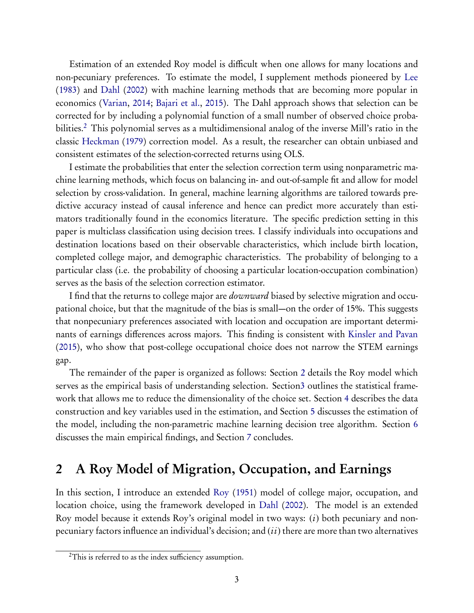Estimation of an extended Roy model is difficult when one allows for many locations and non-pecuniary preferences. To estimate the model, I supplement methods pioneered by [Lee](#page-25-3) [\(1983](#page-25-3)) and [Dahl](#page-24-0) ([2002](#page-24-0)) with machine learning methods that are becoming more popular in economics [\(Varian,](#page-25-4) [2014](#page-25-4); [Bajari et al.](#page-24-4), [2015](#page-24-4)). The Dahl approach shows that selection can be corrected for by including a polynomial function of a small number of observed choice proba-bilities.<sup>[2](#page-2-0)</sup> This polynomial serves as a multidimensional analog of the inverse Mill's ratio in the classic [Heckman](#page-25-5) [\(1979](#page-25-5)) correction model. As a result, the researcher can obtain unbiased and consistent estimates of the selection-corrected returns using OLS.

I estimate the probabilities that enter the selection correction term using nonparametric machine learning methods, which focus on balancing in- and out-of-sample fit and allow for model selection by cross-validation. In general, machine learning algorithms are tailored towards predictive accuracy instead of causal inference and hence can predict more accurately than estimators traditionally found in the economics literature. The specific prediction setting in this paper is multiclass classification using decision trees. I classify individuals into occupations and destination locations based on their observable characteristics, which include birth location, completed college major, and demographic characteristics. The probability of belonging to a particular class (i.e. the probability of choosing a particular location-occupation combination) serves as the basis of the selection correction estimator.

I find that the returns to college major are *downward* biased by selective migration and occupational choice, but that the magnitude of the bias is small—on the order of 15%. This suggests that nonpecuniary preferences associated with location and occupation are important determinants of earnings differences across majors. This finding is consistent with [Kinsler and Pavan](#page-25-1) [\(2015](#page-25-1)), who show that post-college occupational choice does not narrow the STEM earnings gap.

The remainder of the paper is organized as follows: Section [2](#page-2-1) details the Roy model which serves as the empirical basis of understanding selection. Sectio[n3](#page-6-0) outlines the statistical framework that allows me to reduce the dimensionality of the choice set. Section [4](#page-9-0) describes the data construction and key variables used in the estimation, and Section [5](#page-14-0) discusses the estimation of the model, including the non-parametric machine learning decision tree algorithm. Section [6](#page-20-0) discusses the main empirical findings, and Section [7](#page-22-0) concludes.

## <span id="page-2-1"></span>2 A Roy Model of Migration, Occupation, and Earnings

In this section, I introduce an extended [Roy](#page-25-0) ([1951](#page-25-0)) model of college major, occupation, and location choice, using the framework developed in [Dahl](#page-24-0) [\(2002](#page-24-0)). The model is an extended Roy model because it extends Roy's original model in two ways:  $(i)$  both pecuniary and nonpecuniary factors influence an individual's decision; and  $(ii)$  there are more than two alternatives

<span id="page-2-0"></span><sup>&</sup>lt;sup>2</sup>This is referred to as the index sufficiency assumption.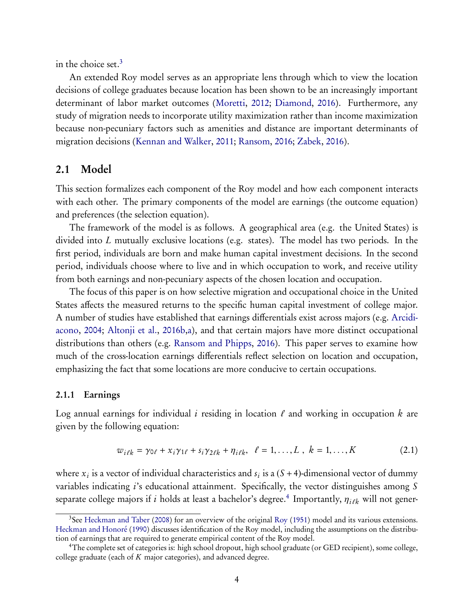in the choice set.<sup>[3](#page-3-0)</sup>

An extended Roy model serves as an appropriate lens through which to view the location decisions of college graduates because location has been shown to be an increasingly important determinant of labor market outcomes([Moretti,](#page-25-6) [2012;](#page-25-6) [Diamond](#page-24-5), [2016](#page-24-5)). Furthermore, any study of migration needs to incorporate utility maximization rather than income maximization because non-pecuniary factors such as amenities and distance are important determinants of migration decisions [\(Kennan and Walker,](#page-25-7) [2011;](#page-25-7) [Ransom,](#page-25-8) [2016;](#page-25-8) [Zabek](#page-26-0), [2016](#page-26-0)).

### 2.1 Model

This section formalizes each component of the Roy model and how each component interacts with each other. The primary components of the model are earnings (the outcome equation) and preferences (the selection equation).

The framework of the model is as follows. A geographical area (e.g. the United States) is divided into L mutually exclusive locations (e.g. states). The model has two periods. In the first period, individuals are born and make human capital investment decisions. In the second period, individuals choose where to live and in which occupation to work, and receive utility from both earnings and non-pecuniary aspects of the chosen location and occupation.

The focus of this paper is on how selective migration and occupational choice in the United States affects the measured returns to the specific human capital investment of college major. A nu[mber of studies have established that earnings differentials exist across majors \(e.g.](#page-24-6) Arcidiacono, [2004;](#page-24-6) [Altonji et al.,](#page-24-3) [2016b](#page-24-3)[,a\)](#page-24-2), and that certain majors have more distinct occupational distributions than others (e.g. [Ransom and Phipps,](#page-25-9) [2016](#page-25-9)). This paper serves to examine how much of the cross-location earnings differentials reflect selection on location and occupation, emphasizing the fact that some locations are more conducive to certain occupations.

#### 2.1.1 Earnings

Log annual earnings for individual i residing in location  $\ell$  and working in occupation k are given by the following equation:

<span id="page-3-2"></span>
$$
w_{i\ell k} = \gamma_{0\ell} + x_i \gamma_{1\ell} + s_i \gamma_{2\ell k} + \eta_{i\ell k}, \quad \ell = 1, ..., L \; , \; k = 1, ..., K \tag{2.1}
$$

where  $x_i$  is a vector of individual characteristics and  $s_i$  is a  $(S + 4)$ -dimensional vector of dummy variables indicating *i*'s educational attainment. Specifically, the vector distinguishes among S separate college majors if  $i$  holds at least a bachelor's degree. $^4$  $^4$  Importantly,  $\eta_{i\ell k}$  will not gener-

<span id="page-3-0"></span><sup>&</sup>lt;sup>3</sup>See [Heckman and Taber](#page-25-10) ([2008](#page-25-10)) for an overview of the original [Roy](#page-25-0) [\(1951](#page-25-0)) model and its various extensions. [Heckman and Honoré](#page-25-11) ([1990](#page-25-11)) discusses identification of the Roy model, including the assumptions on the distribution of earnings that are required to generate empirical content of the Roy model.

<span id="page-3-1"></span><sup>4</sup>The complete set of categories is: high school dropout, high school graduate (or GED recipient), some college, college graduate (each of  $K$  major categories), and advanced degree.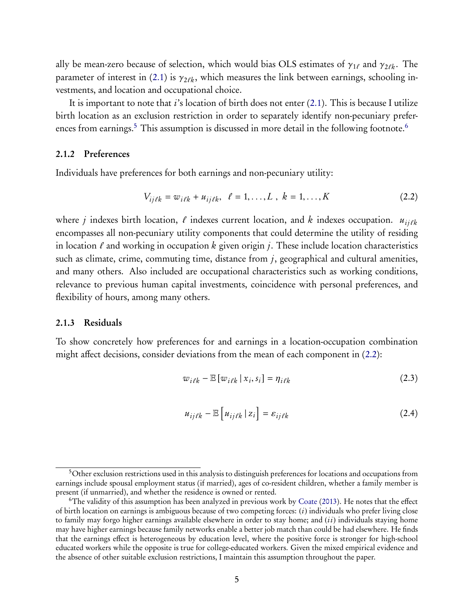ally be mean-zero because of selection, which would bias OLS estimates of  $\gamma_{1\ell}$  and  $\gamma_{2\ell k}$ . The parameter of interest in [\(2.1\)](#page-3-2) is  $\gamma_{2\ell k}$ , which measures the link between earnings, schooling investments, and location and occupational choice.

Itis important to note that  $i$ 's location of birth does not enter  $(2.1)$  $(2.1)$ . This is because I utilize birth location as an exclusion restriction in order to separately identify non-pecuniary prefer-ences from earnings.<sup>[5](#page-4-0)</sup> This assumption is discussed in more detail in the following footnote.<sup>[6](#page-4-1)</sup>

#### 2.1.2 Preferences

Individuals have preferences for both earnings and non-pecuniary utility:

<span id="page-4-2"></span>
$$
V_{ij\ell k} = w_{i\ell k} + u_{ij\ell k}, \quad \ell = 1, ..., L \; , \; k = 1, ..., K \tag{2.2}
$$

where j indexes birth location,  $\ell$  indexes current location, and k indexes occupation.  $u_{ij\ell k}$ encompasses all non-pecuniary utility components that could determine the utility of residing in location  $\ell$  and working in occupation k given origin j. These include location characteristics such as climate, crime, commuting time, distance from  $j$ , geographical and cultural amenities, and many others. Also included are occupational characteristics such as working conditions, relevance to previous human capital investments, coincidence with personal preferences, and flexibility of hours, among many others.

#### 2.1.3 Residuals

To show concretely how preferences for and earnings in a location-occupation combination might affect decisions, consider deviations from the mean of each component in [\(2.2\)](#page-4-2):

$$
w_{i\ell k} - \mathbb{E}\left[w_{i\ell k} \mid x_i, s_i\right] = \eta_{i\ell k} \tag{2.3}
$$

$$
u_{ij\ell k} - \mathbb{E}\left[u_{ij\ell k} \mid z_i\right] = \varepsilon_{ij\ell k} \tag{2.4}
$$

<span id="page-4-0"></span><sup>&</sup>lt;sup>5</sup>Other exclusion restrictions used in this analysis to distinguish preferences for locations and occupations from earnings include spousal employment status (if married), ages of co-resident children, whether a family member is present (if unmarried), and whether the residence is owned or rented.

<span id="page-4-1"></span><sup>6</sup>The validity of this assumption has been analyzed in previous work by [Coate](#page-24-7) [\(2013](#page-24-7)). He notes that the effect of birth location on earnings is ambiguous because of two competing forces:  $(i)$  individuals who prefer living close to family may forgo higher earnings available elsewhere in order to stay home; and  $(ii)$  individuals staying home may have higher earnings because family networks enable a better job match than could be had elsewhere. He finds that the earnings effect is heterogeneous by education level, where the positive force is stronger for high-school educated workers while the opposite is true for college-educated workers. Given the mixed empirical evidence and the absence of other suitable exclusion restrictions, I maintain this assumption throughout the paper.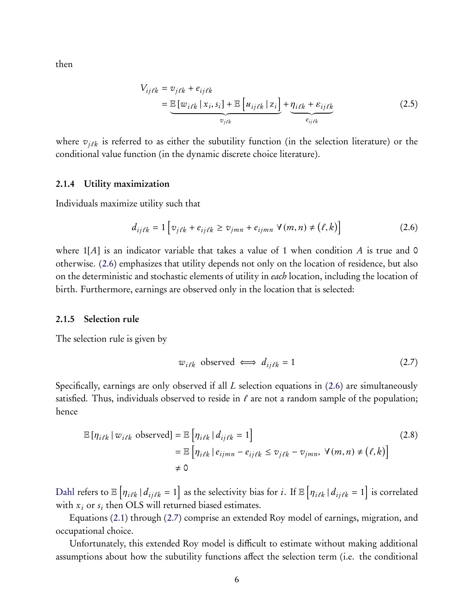then

$$
V_{ij\ell k} = v_{j\ell k} + e_{ij\ell k}
$$
  
= 
$$
\underbrace{\mathbb{E}[w_{i\ell k} | x_i, s_i] + \mathbb{E}[u_{ij\ell k} | z_i] + \underbrace{\eta_{i\ell k} + \varepsilon_{ij\ell k}}_{e_{ij\ell k}}}
$$
(2.5)

where  $v_{j\ell k}$  is referred to as either the subutility function (in the selection literature) or the conditional value function (in the dynamic discrete choice literature).

#### 2.1.4 Utility maximization

Individuals maximize utility such that

$$
d_{ij\ell k} = 1 \left[ v_{j\ell k} + e_{ij\ell k} \ge v_{jmn} + e_{ijmn} \ \forall (m, n) \ne (l, k) \right]
$$
 (2.6)

where  $1[A]$  is an indicator variable that takes a value of 1 when condition A is true and 0 otherwise. [\(2.6\)](#page-5-0) emphasizes that utility depends not only on the location of residence, but also on the deterministic and stochastic elements of utility in each location, including the location of birth. Furthermore, earnings are observed only in the location that is selected:

#### 2.1.5 Selection rule

The selection rule is given by

<span id="page-5-1"></span><span id="page-5-0"></span>
$$
w_{i\ell k} \text{ observed} \iff d_{ij\ell k} = 1 \tag{2.7}
$$

Specifically, earnings are only observed if all L selection equations in([2.6\)](#page-5-0) are simultaneously satisfied. Thus, individuals observed to reside in  $\ell$  are not a random sample of the population; hence

$$
\mathbb{E}\left[\eta_{i\ell k} \mid w_{i\ell k} \text{ observed}\right] = \mathbb{E}\left[\eta_{i\ell k} \mid d_{ij\ell k} = 1\right]
$$
\n
$$
= \mathbb{E}\left[\eta_{i\ell k} \mid e_{ijmn} - e_{ij\ell k} \le v_{j\ell k} - v_{jmn}, \ \forall (m, n) \ne (\ell, k)\right]
$$
\n
$$
\neq 0
$$
\n(2.8)

[Dahl](#page-24-0) refers to  $\mathbb{E} \left[ \eta_{i\ell k} \, | \, d_{ij\ell k} = 1 \right]$  as the selectivity bias for  $i$ . If  $\mathbb{E} \left[ \eta_{i\ell k} \, | \, d_{ij\ell k} = 1 \right]$  is correlated with  $x_i$  or  $s_i$  then OLS will returned biased estimates.

Equations([2.1\)](#page-3-2) through([2.7\)](#page-5-1) comprise an extended Roy model of earnings, migration, and occupational choice.

Unfortunately, this extended Roy model is difficult to estimate without making additional assumptions about how the subutility functions affect the selection term (i.e. the conditional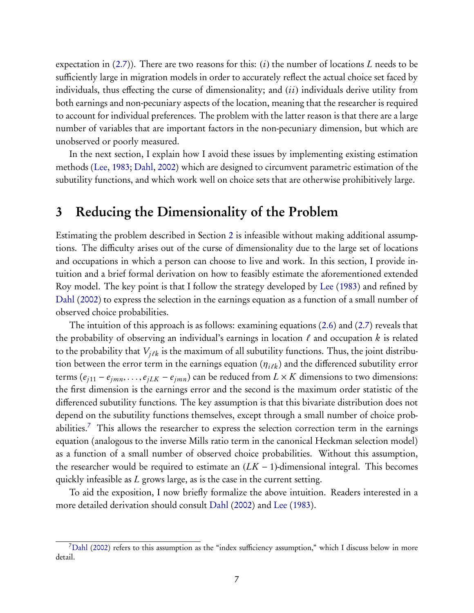expectationin  $(2.7)$  $(2.7)$ ). There are two reasons for this: (i) the number of locations L needs to be sufficiently large in migration models in order to accurately reflect the actual choice set faced by individuals, thus effecting the curse of dimensionality; and  $(ii)$  individuals derive utility from both earnings and non-pecuniary aspects of the location, meaning that the researcher is required to account for individual preferences. The problem with the latter reason is that there are a large number of variables that are important factors in the non-pecuniary dimension, but which are unobserved or poorly measured.

In the next section, I explain how I avoid these issues by implementing existing estimation methods [\(Lee,](#page-25-3) [1983;](#page-25-3) [Dahl](#page-24-0), [2002](#page-24-0)) which are designed to circumvent parametric estimation of the subutility functions, and which work well on choice sets that are otherwise prohibitively large.

## <span id="page-6-0"></span>3 Reducing the Dimensionality of the Problem

Estimating the problem described in Section [2](#page-2-1) is infeasible without making additional assumptions. The difficulty arises out of the curse of dimensionality due to the large set of locations and occupations in which a person can choose to live and work. In this section, I provide intuition and a brief formal derivation on how to feasibly estimate the aforementioned extended Roy model. The key point is that I follow the strategy developed by [Lee](#page-25-3) ([1983](#page-25-3)) and refined by [Dahl](#page-24-0) ([2002](#page-24-0)) to express the selection in the earnings equation as a function of a small number of observed choice probabilities.

The intuition of this approach is as follows: examining equations([2.6\)](#page-5-0) and([2.7\)](#page-5-1) reveals that the probability of observing an individual's earnings in location  $\ell$  and occupation k is related to the probability that  $V_{ijk}$  is the maximum of all subutility functions. Thus, the joint distribution between the error term in the earnings equation ( $\eta_{i\ell k}$ ) and the differenced subutility error terms  $(e_{j11} - e_{jmn}, \ldots, e_{jLK} - e_{jmn})$  can be reduced from  $L \times K$  dimensions to two dimensions: the first dimension is the earnings error and the second is the maximum order statistic of the differenced subutility functions. The key assumption is that this bivariate distribution does not depend on the subutility functions themselves, except through a small number of choice prob-abilities.<sup>[7](#page-6-1)</sup> This allows the researcher to express the selection correction term in the earnings equation (analogous to the inverse Mills ratio term in the canonical Heckman selection model) as a function of a small number of observed choice probabilities. Without this assumption, the researcher would be required to estimate an  $(LK - 1)$ -dimensional integral. This becomes quickly infeasible as L grows large, as is the case in the current setting.

To aid the exposition, I now briefly formalize the above intuition. Readers interested in a more detailed derivation should consult [Dahl](#page-24-0) ([2002](#page-24-0)) and [Lee](#page-25-3) [\(1983](#page-25-3)).

<span id="page-6-1"></span><sup>7</sup>[Dahl](#page-24-0) [\(2002](#page-24-0)) refers to this assumption as the "index sufficiency assumption," which I discuss below in more detail.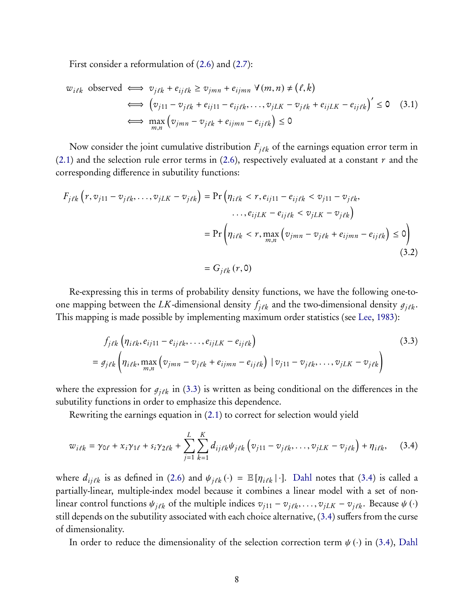First consider a reformulation of([2.6\)](#page-5-0) and [\(2.7\)](#page-5-1):

$$
w_{i\ell k} \text{ observed} \iff v_{j\ell k} + e_{ij\ell k} \ge v_{jmn} + e_{ijmn} \ \forall (m, n) \ne (\ell, k)
$$
\n
$$
\iff \left( v_{j11} - v_{j\ell k} + e_{ij11} - e_{ij\ell k}, \dots, v_{jLK} - v_{j\ell k} + e_{ijLK} - e_{ij\ell k} \right)' \le 0 \quad (3.1)
$$
\n
$$
\iff \max_{m,n} \left( v_{jmn} - v_{j\ell k} + e_{ijmn} - e_{ij\ell k} \right) \le 0
$$

Now consider the joint cumulative distribution  $F_{j\ell k}$  of the earnings equation error term in  $(2.1)$  and the selection rule error terms in  $(2.6)$ , respectively evaluated at a constant r and the corresponding difference in subutility functions:

$$
F_{j\ell k} \left( r, v_{j11} - v_{j\ell k}, \dots, v_{jLK} - v_{j\ell k} \right) = \Pr \left( \eta_{i\ell k} < r, e_{ij11} - e_{ij\ell k} < v_{j11} - v_{j\ell k}, \dots, e_{ijLK} - e_{ij\ell k} < v_{jLK} - v_{j\ell k} \right)
$$
\n
$$
= \Pr \left( \eta_{i\ell k} < r, \max_{m,n} \left( v_{jmn} - v_{j\ell k} + e_{ijmn} - e_{ij\ell k} \right) \le 0 \right)
$$
\n
$$
= G_{j\ell k} \left( r, 0 \right) \tag{3.2}
$$

Re-expressing this in terms of probability density functions, we have the following one-toone mapping between the LK-dimensional density  $f_{j\ell k}$  and the two-dimensional density  $g_{j\ell k}$ . This mapping is made possible by implementing maximum order statistics (see [Lee](#page-25-3), [1983](#page-25-3)):

<span id="page-7-1"></span><span id="page-7-0"></span>
$$
f_{j\ell k} \left( \eta_{i\ell k}, e_{ij11} - e_{ij\ell k}, \dots, e_{ijLK} - e_{ij\ell k} \right)
$$
\n
$$
= g_{j\ell k} \left( \eta_{i\ell k}, \max_{m,n} \left( v_{jmn} - v_{j\ell k} + e_{ijmn} - e_{ij\ell k} \right) \mid v_{j11} - v_{j\ell k}, \dots, v_{jLK} - v_{j\ell k} \right)
$$
\n(3.3)

wherethe expression for  $g_{j\ell k}$  in ([3.3\)](#page-7-0) is written as being conditional on the differences in the subutility functions in order to emphasize this dependence.

Rewriting the earnings equation in [\(2.1\)](#page-3-2) to correct for selection would yield

$$
w_{i\ell k} = \gamma_{0\ell} + x_i \gamma_{1\ell} + s_i \gamma_{2\ell k} + \sum_{j=1}^{L} \sum_{k=1}^{K} d_{ij\ell k} \psi_{j\ell k} \left( v_{j11} - v_{j\ell k}, \dots, v_{jLK} - v_{j\ell k} \right) + \eta_{i\ell k}, \quad (3.4)
$$

where $d_{ij\ell k}$  is as defined in [\(2.6\)](#page-5-0) and  $\psi_{j\ell k} (\cdot) = \mathbb{E} [\eta_{i\ell k} | \cdot]$ . [Dahl](#page-24-0) notes that ([3.4\)](#page-7-1) is called a partially-linear, multiple-index model because it combines a linear model with a set of nonlinear control functions  $\psi_{j\ell k}$  of the multiple indices  $v_{j11} - v_{j\ell k}, \ldots, v_{jLK} - v_{j\ell k}$ . Because  $\psi(\cdot)$ still depends on the subutility associated with each choice alternative, [\(3.4\)](#page-7-1) suffers from the curse of dimensionality.

In order to reduce the dimensionality of the selection correction term  $\psi(\cdot)$  in [\(3.4\)](#page-7-1), [Dahl](#page-24-0)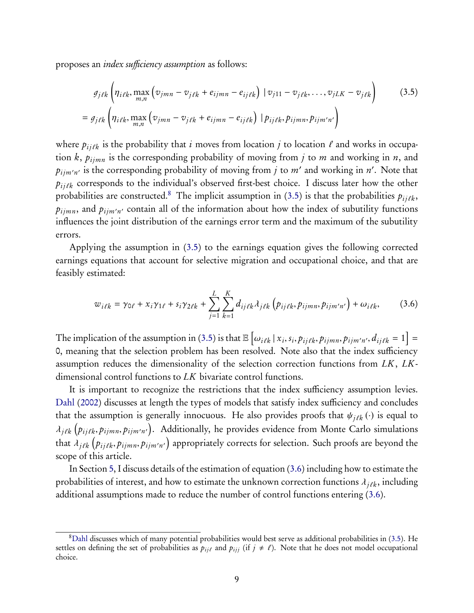proposes an index sufficiency assumption as follows:

<span id="page-8-1"></span>
$$
g_{j\ell k} \left( \eta_{i\ell k}, \max_{m,n} \left( v_{jmn} - v_{j\ell k} + e_{ijmn} - e_{ij\ell k} \right) \mid v_{j11} - v_{j\ell k}, \dots, v_{jLK} - v_{j\ell k} \right)
$$
(3.5)  

$$
= g_{j\ell k} \left( \eta_{i\ell k}, \max_{m,n} \left( v_{jmn} - v_{j\ell k} + e_{ijmn} - e_{ij\ell k} \right) \mid p_{ij\ell k}, p_{ijmn}, p_{ijmn'} \right)
$$

where  $p_{ij\ell k}$  is the probability that i moves from location j to location  $\ell$  and works in occupation k,  $p_{ijmn}$  is the corresponding probability of moving from j to m and working in n, and  $p_{ijm'n'}$  is the corresponding probability of moving from  $j$  to  $m'$  and working in  $n'$ . Note that  $p_{i j \ell k}$  corresponds to the individual's observed first-best choice. I discuss later how the other probabilities are constructed.<sup>[8](#page-8-0)</sup>The implicit assumption in ([3.5\)](#page-8-1) is that the probabilities  $p_{ij\ell k}$ ,  $p_{ijmn}$ , and  $p_{ijm'n'}$  contain all of the information about how the index of subutility functions influences the joint distribution of the earnings error term and the maximum of the subutility errors.

Applying the assumption in [\(3.5\)](#page-8-1) to the earnings equation gives the following corrected earnings equations that account for selective migration and occupational choice, and that are feasibly estimated:

<span id="page-8-2"></span>
$$
w_{i\ell k} = \gamma_{0\ell} + x_i \gamma_{1\ell} + s_i \gamma_{2\ell k} + \sum_{j=1}^{L} \sum_{k=1}^{K} d_{ij\ell k} \lambda_{j\ell k} \left( p_{ij\ell k}, p_{ijmn}, p_{ijm'n'} \right) + \omega_{i\ell k}, \tag{3.6}
$$

The implication of the assumption in [\(3.5\)](#page-8-1) is that  $\mathbb{E}\left[\omega_{i\ell k} | x_i, s_i, p_{ij\ell k}, p_{ijmn}, p_{ijmn'n'}, d_{ij\ell k} = 1\right] =$ 0, meaning that the selection problem has been resolved. Note also that the index sufficiency assumption reduces the dimensionality of the selection correction functions from LK, LKdimensional control functions to LK bivariate control functions.

It is important to recognize the restrictions that the index sufficiency assumption levies. [Dahl](#page-24-0) [\(2002](#page-24-0)) discusses at length the types of models that satisfy index sufficiency and concludes that the assumption is generally innocuous. He also provides proofs that  $\psi_{j\ell k}(\cdot)$  is equal to  $\lambda_{j\ell k}\left( p_{ij\ell k}, p_{ijmn}, p_{ijm'n'}\right)$ . Additionally, he provides evidence from Monte Carlo simulations that  $\lambda_{j\ell k}\left(p_{ij\ell k},p_{ijmn},p_{ijm'n'}\right)$  appropriately corrects for selection. Such proofs are beyond the scope of this article.

In Section [5,](#page-14-0) I discuss details of the estimation of equation([3.6\)](#page-8-2) including how to estimate the probabilities of interest, and how to estimate the unknown correction functions  $\lambda_{j\ell k}$ , including additional assumptions made to reduce the number of control functions entering([3.6\)](#page-8-2).

<span id="page-8-0"></span><sup>8</sup>[Dahl](#page-24-0) discusses which of many potential probabilities would best serve as additional probabilities in([3.5\)](#page-8-1). He settles on defining the set of probabilities as  $p_{ij\ell}$  and  $p_{ij}$  (if  $j \neq \ell$ ). Note that he does not model occupational choice.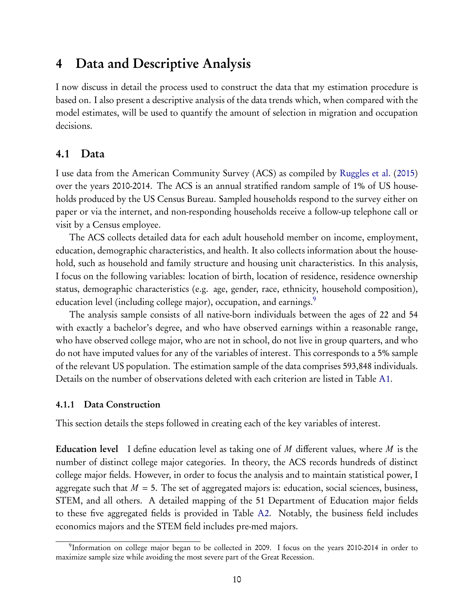## <span id="page-9-0"></span>4 Data and Descriptive Analysis

I now discuss in detail the process used to construct the data that my estimation procedure is based on. I also present a descriptive analysis of the data trends which, when compared with the model estimates, will be used to quantify the amount of selection in migration and occupation decisions.

### 4.1 Data

I use data from the American Community Survey (ACS) as compiled by [Ruggles et al.](#page-25-12) ([2015](#page-25-12)) over the years 2010-2014. The ACS is an annual stratified random sample of 1% of US households produced by the US Census Bureau. Sampled households respond to the survey either on paper or via the internet, and non-responding households receive a follow-up telephone call or visit by a Census employee.

The ACS collects detailed data for each adult household member on income, employment, education, demographic characteristics, and health. It also collects information about the household, such as household and family structure and housing unit characteristics. In this analysis, I focus on the following variables: location of birth, location of residence, residence ownership status, demographic characteristics (e.g. age, gender, race, ethnicity, household composition), education level (including college major), occupation, and earnings.<sup>[9](#page-9-1)</sup>

The analysis sample consists of all native-born individuals between the ages of 22 and 54 with exactly a bachelor's degree, and who have observed earnings within a reasonable range, who have observed college major, who are not in school, do not live in group quarters, and who do not have imputed values for any of the variables of interest. This corresponds to a 5% sample of the relevant US population. The estimation sample of the data comprises 593,848 individuals. Details on the number of observations deleted with each criterion are listed in Table [A1.](#page-43-0)

### <span id="page-9-2"></span>4.1.1 Data Construction

This section details the steps followed in creating each of the key variables of interest.

**Education level** I define education level as taking one of M different values, where M is the number of distinct college major categories. In theory, the ACS records hundreds of distinct college major fields. However, in order to focus the analysis and to maintain statistical power, I aggregate such that  $M = 5$ . The set of aggregated majors is: education, social sciences, business, STEM, and all others. A detailed mapping of the 51 Department of Education major fields to these five aggregated fields is provided in Table [A2.](#page-44-0) Notably, the business field includes economics majors and the STEM field includes pre-med majors.

<span id="page-9-1"></span><sup>&</sup>lt;sup>9</sup>Information on college major began to be collected in 2009. I focus on the years 2010-2014 in order to maximize sample size while avoiding the most severe part of the Great Recession.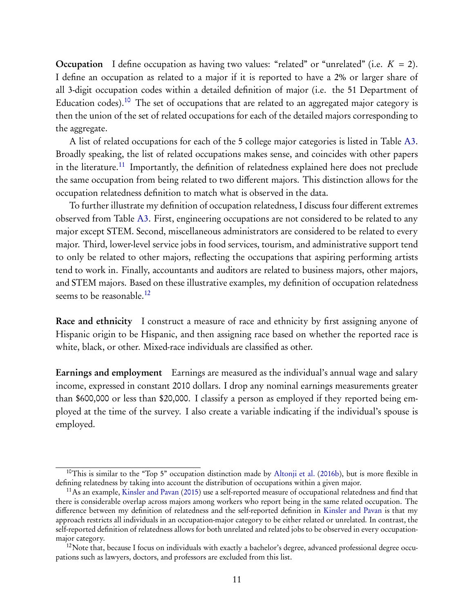**Occupation** I define occupation as having two values: "related" or "unrelated" (i.e.  $K = 2$ ). I define an occupation as related to a major if it is reported to have a 2% or larger share of all 3-digit occupation codes within a detailed definition of major (i.e. the 51 Department of Education codes).<sup>[10](#page-10-0)</sup> The set of occupations that are related to an aggregated major category is then the union of the set of related occupations for each of the detailed majors corresponding to the aggregate.

A list of related occupations for each of the 5 college major categories is listed in Table [A3.](#page-45-0) Broadly speaking, the list of related occupations makes sense, and coincides with other papers in the literature.<sup>[11](#page-10-1)</sup> Importantly, the definition of relatedness explained here does not preclude the same occupation from being related to two different majors. This distinction allows for the occupation relatedness definition to match what is observed in the data.

To further illustrate my definition of occupation relatedness, I discuss four different extremes observed from Table [A3.](#page-45-0) First, engineering occupations are not considered to be related to any major except STEM. Second, miscellaneous administrators are considered to be related to every major. Third, lower-level service jobs in food services, tourism, and administrative support tend to only be related to other majors, reflecting the occupations that aspiring performing artists tend to work in. Finally, accountants and auditors are related to business majors, other majors, and STEM majors. Based on these illustrative examples, my definition of occupation relatedness seems to be reasonable.<sup>[12](#page-10-2)</sup>

Race and ethnicity I construct a measure of race and ethnicity by first assigning anyone of Hispanic origin to be Hispanic, and then assigning race based on whether the reported race is white, black, or other. Mixed-race individuals are classified as other.

Earnings and employment Earnings are measured as the individual's annual wage and salary income, expressed in constant 2010 dollars. I drop any nominal earnings measurements greater than \$600,000 or less than \$20,000. I classify a person as employed if they reported being employed at the time of the survey. I also create a variable indicating if the individual's spouse is employed.

<span id="page-10-0"></span><sup>&</sup>lt;sup>10</sup>This is similar to the "Top 5" occupation distinction made by Altonii et al. ([2016b](#page-24-3)), but is more flexible in defining relatedness by taking into account the distribution of occupations within a given major.

<span id="page-10-1"></span> $11$ As an example, [Kinsler and Pavan](#page-25-1) [\(2015](#page-25-1)) use a self-reported measure of occupational relatedness and find that there is considerable overlap across majors among workers who report being in the same related occupation. The difference between my definition of relatedness and the self-reported definition in [Kinsler and Pavan](#page-25-1) is that my approach restricts all individuals in an occupation-major category to be either related or unrelated. In contrast, the self-reported definition of relatedness allows for both unrelated and related jobs to be observed in every occupationmajor category.

<span id="page-10-2"></span> $12$ Note that, because I focus on individuals with exactly a bachelor's degree, advanced professional degree occupations such as lawyers, doctors, and professors are excluded from this list.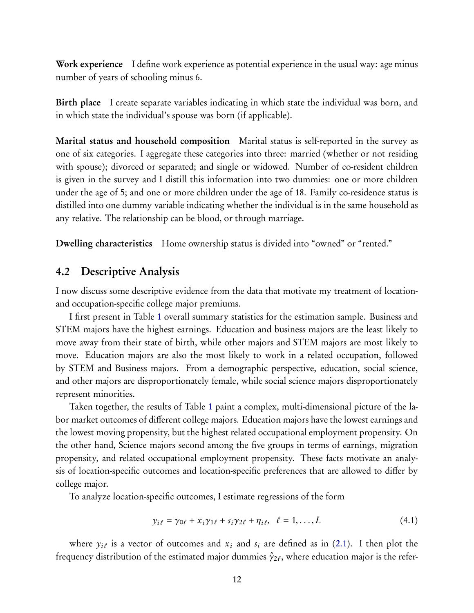Work experience I define work experience as potential experience in the usual way: age minus number of years of schooling minus 6.

Birth place I create separate variables indicating in which state the individual was born, and in which state the individual's spouse was born (if applicable).

Marital status and household composition Marital status is self-reported in the survey as one of six categories. I aggregate these categories into three: married (whether or not residing with spouse); divorced or separated; and single or widowed. Number of co-resident children is given in the survey and I distill this information into two dummies: one or more children under the age of 5; and one or more children under the age of 18. Family co-residence status is distilled into one dummy variable indicating whether the individual is in the same household as any relative. The relationship can be blood, or through marriage.

Dwelling characteristics Home ownership status is divided into "owned" or "rented."

### 4.2 Descriptive Analysis

I now discuss some descriptive evidence from the data that motivate my treatment of locationand occupation-specific college major premiums.

I first present in Table [1](#page-27-0) overall summary statistics for the estimation sample. Business and STEM majors have the highest earnings. Education and business majors are the least likely to move away from their state of birth, while other majors and STEM majors are most likely to move. Education majors are also the most likely to work in a related occupation, followed by STEM and Business majors. From a demographic perspective, education, social science, and other majors are disproportionately female, while social science majors disproportionately represent minorities.

Taken together, the results of Table [1](#page-27-0) paint a complex, multi-dimensional picture of the labor market outcomes of different college majors. Education majors have the lowest earnings and the lowest moving propensity, but the highest related occupational employment propensity. On the other hand, Science majors second among the five groups in terms of earnings, migration propensity, and related occupational employment propensity. These facts motivate an analysis of location-specific outcomes and location-specific preferences that are allowed to differ by college major.

To analyze location-specific outcomes, I estimate regressions of the form

<span id="page-11-0"></span>
$$
y_{i\ell} = \gamma_{0\ell} + x_i \gamma_{1\ell} + s_i \gamma_{2\ell} + \eta_{i\ell}, \quad \ell = 1, \dots, L
$$
\n(4.1)

where $y_{i\ell}$  is a vector of outcomes and  $x_i$  and  $s_i$  are defined as in ([2.1\)](#page-3-2). I then plot the frequency distribution of the estimated major dummies  $\hat{\gamma}_{2\ell}$ , where education major is the refer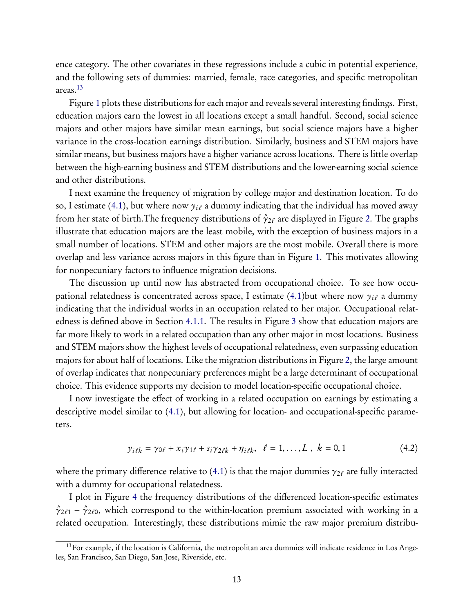ence category. The other covariates in these regressions include a cubic in potential experience, and the following sets of dummies: married, female, race categories, and specific metropolitan areas.[13](#page-12-0)

Figure [1](#page-29-0) plots these distributions for each major and reveals several interesting findings. First, education majors earn the lowest in all locations except a small handful. Second, social science majors and other majors have similar mean earnings, but social science majors have a higher variance in the cross-location earnings distribution. Similarly, business and STEM majors have similar means, but business majors have a higher variance across locations. There is little overlap between the high-earning business and STEM distributions and the lower-earning social science and other distributions.

I next examine the frequency of migration by college major and destination location. To do so,I estimate ([4.1\)](#page-11-0), but where now  $y_{i\ell}$  a dummy indicating that the individual has moved away from her state of birth. The frequency distributions of  $\hat{\gamma}_{2\ell}$  are displayed in Figure [2.](#page-30-0) The graphs illustrate that education majors are the least mobile, with the exception of business majors in a small number of locations. STEM and other majors are the most mobile. Overall there is more overlap and less variance across majors in this figure than in Figure [1.](#page-29-0) This motivates allowing for nonpecuniary factors to influence migration decisions.

The discussion up until now has abstracted from occupational choice. To see how occu-pational relatedness is concentrated across space, I estimate ([4.1\)](#page-11-0)but where now  $y_{i\ell}$  a dummy indicating that the individual works in an occupation related to her major. Occupational relatedness is defined above in Section [4.1.1.](#page-9-2) The results in Figure [3](#page-31-0) show that education majors are far more likely to work in a related occupation than any other major in most locations. Business and STEM majors show the highest levels of occupational relatedness, even surpassing education majors for about half of locations. Like the migration distributions in Figure [2,](#page-30-0) the large amount of overlap indicates that nonpecuniary preferences might be a large determinant of occupational choice. This evidence supports my decision to model location-specific occupational choice.

I now investigate the effect of working in a related occupation on earnings by estimating a descriptive model similar to([4.1\)](#page-11-0), but allowing for location- and occupational-specific parameters.

$$
y_{i\ell k} = \gamma_{0\ell} + x_i \gamma_{1\ell} + s_i \gamma_{2\ell k} + \eta_{i\ell k}, \quad \ell = 1, ..., L, \ k = 0, 1
$$
 (4.2)

wherethe primary difference relative to ([4.1\)](#page-11-0) is that the major dummies  $\gamma_{2\ell}$  are fully interacted with a dummy for occupational relatedness.

I plot in Figure [4](#page-32-0) the frequency distributions of the differenced location-specific estimates  $\hat{\gamma}_{2\ell 1} - \hat{\gamma}_{2\ell 0}$ , which correspond to the within-location premium associated with working in a related occupation. Interestingly, these distributions mimic the raw major premium distribu-

<span id="page-12-0"></span><sup>&</sup>lt;sup>13</sup>For example, if the location is California, the metropolitan area dummies will indicate residence in Los Angeles, San Francisco, San Diego, San Jose, Riverside, etc.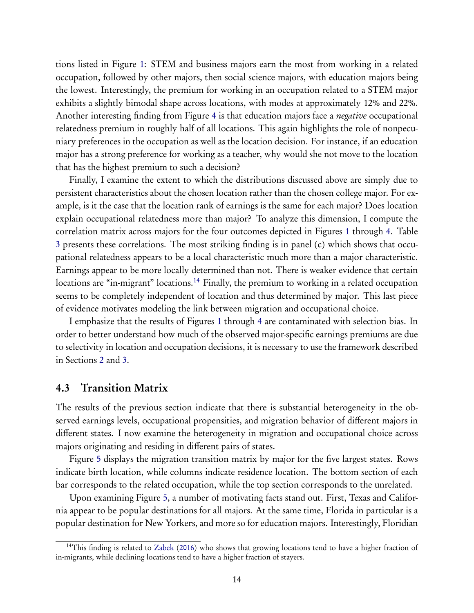tions listed in Figure [1:](#page-29-0) STEM and business majors earn the most from working in a related occupation, followed by other majors, then social science majors, with education majors being the lowest. Interestingly, the premium for working in an occupation related to a STEM major exhibits a slightly bimodal shape across locations, with modes at approximately 12% and 22%. Another interesting finding from Figure [4](#page-32-0) is that education majors face a *negative* occupational relatedness premium in roughly half of all locations. This again highlights the role of nonpecuniary preferences in the occupation as well as the location decision. For instance, if an education major has a strong preference for working as a teacher, why would she not move to the location that has the highest premium to such a decision?

Finally, I examine the extent to which the distributions discussed above are simply due to persistent characteristics about the chosen location rather than the chosen college major. For example, is it the case that the location rank of earnings is the same for each major? Does location explain occupational relatedness more than major? To analyze this dimension, I compute the correlation matrix across majors for the four outcomes depicted in Figures [1](#page-29-0) through [4.](#page-32-0) Table [3](#page-33-0) presents these correlations. The most striking finding is in panel (c) which shows that occupational relatedness appears to be a local characteristic much more than a major characteristic. Earnings appear to be more locally determined than not. There is weaker evidence that certain locations are "in-migrant" locations.<sup>[14](#page-13-0)</sup> Finally, the premium to working in a related occupation seems to be completely independent of location and thus determined by major. This last piece of evidence motivates modeling the link between migration and occupational choice.

I emphasize that the results of Figures [1](#page-29-0) through [4](#page-32-0) are contaminated with selection bias. In order to better understand how much of the observed major-specific earnings premiums are due to selectivity in location and occupation decisions, it is necessary to use the framework described in Sections [2](#page-2-1) and [3.](#page-6-0)

### 4.3 Transition Matrix

The results of the previous section indicate that there is substantial heterogeneity in the observed earnings levels, occupational propensities, and migration behavior of different majors in different states. I now examine the heterogeneity in migration and occupational choice across majors originating and residing in different pairs of states.

Figure [5](#page-34-0) displays the migration transition matrix by major for the five largest states. Rows indicate birth location, while columns indicate residence location. The bottom section of each bar corresponds to the related occupation, while the top section corresponds to the unrelated.

Upon examining Figure [5,](#page-34-0) a number of motivating facts stand out. First, Texas and California appear to be popular destinations for all majors. At the same time, Florida in particular is a popular destination for New Yorkers, and more so for education majors. Interestingly, Floridian

<span id="page-13-0"></span><sup>&</sup>lt;sup>14</sup>This finding is related to [Zabek](#page-26-0) ([2016](#page-26-0)) who shows that growing locations tend to have a higher fraction of in-migrants, while declining locations tend to have a higher fraction of stayers.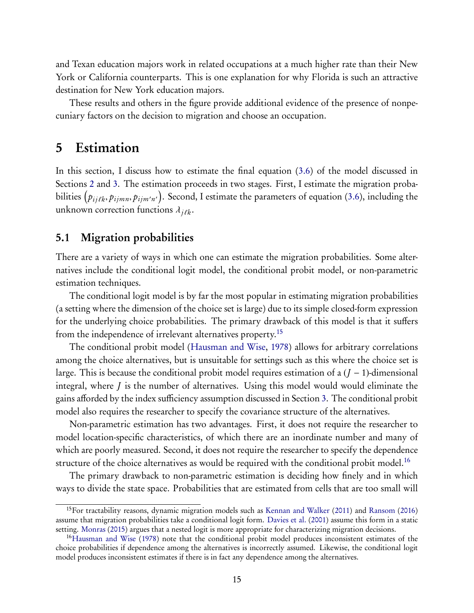and Texan education majors work in related occupations at a much higher rate than their New York or California counterparts. This is one explanation for why Florida is such an attractive destination for New York education majors.

These results and others in the figure provide additional evidence of the presence of nonpecuniary factors on the decision to migration and choose an occupation.

## <span id="page-14-0"></span>5 Estimation

In this section, I discuss how to estimate the final equation([3.6\)](#page-8-2) of the model discussed in Sections [2](#page-2-1) and [3.](#page-6-0) The estimation proceeds in two stages. First, I estimate the migration proba-bilities $\left(p_{ij\ell k}, p_{ijmn}, p_{ijm'n'}\right)$ . Second, I estimate the parameters of equation ([3.6\)](#page-8-2), including the unknown correction functions  $\lambda_{i\ell k}$ .

### 5.1 Migration probabilities

There are a variety of ways in which one can estimate the migration probabilities. Some alternatives include the conditional logit model, the conditional probit model, or non-parametric estimation techniques.

The conditional logit model is by far the most popular in estimating migration probabilities (a setting where the dimension of the choice set is large) due to its simple closed-form expression for the underlying choice probabilities. The primary drawback of this model is that it suffers from the independence of irrelevant alternatives property.<sup>[15](#page-14-1)</sup>

The conditional probit model [\(Hausman and Wise](#page-24-8), [1978](#page-24-8)) allows for arbitrary correlations among the choice alternatives, but is unsuitable for settings such as this where the choice set is large. This is because the conditional probit model requires estimation of a (*J* − 1)-dimensional integral, where *J* is the number of alternatives. Using this model would would eliminate the gains afforded by the index sufficiency assumption discussed in Section [3.](#page-6-0) The conditional probit model also requires the researcher to specify the covariance structure of the alternatives.

Non-parametric estimation has two advantages. First, it does not require the researcher to model location-specific characteristics, of which there are an inordinate number and many of which are poorly measured. Second, it does not require the researcher to specify the dependence structure of the choice alternatives as would be required with the conditional probit model.<sup>[16](#page-14-2)</sup>

The primary drawback to non-parametric estimation is deciding how finely and in which ways to divide the state space. Probabilities that are estimated from cells that are too small will

<span id="page-14-1"></span><sup>15</sup>For tractability reasons, dynamic migration models such as [Kennan and Walker](#page-25-7) ([2011](#page-25-7)) and [Ransom](#page-25-8) [\(2016](#page-25-8)) assume that migration probabilities take a conditional logit form. [Davies et al.](#page-24-9) [\(2001](#page-24-9)) assume this form in a static setting. [Monras](#page-25-13) [\(2015](#page-25-13)) argues that a nested logit is more appropriate for characterizing migration decisions.

<span id="page-14-2"></span><sup>16</sup>[Hausman and Wise](#page-24-8) [\(1978](#page-24-8)) note that the conditional probit model produces inconsistent estimates of the choice probabilities if dependence among the alternatives is incorrectly assumed. Likewise, the conditional logit model produces inconsistent estimates if there is in fact any dependence among the alternatives.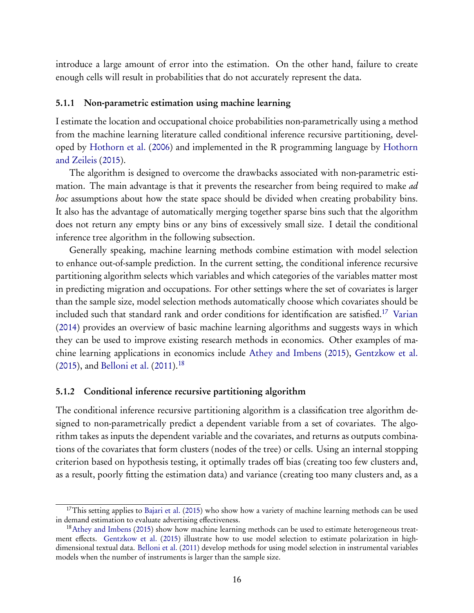introduce a large amount of error into the estimation. On the other hand, failure to create enough cells will result in probabilities that do not accurately represent the data.

#### 5.1.1 Non-parametric estimation using machine learning

I estimate the location and occupational choice probabilities non-parametrically using a method from the machine learning literature called conditional inference recursive partitioning, developed by [Hothorn et al.](#page-25-14) [\(](#page-25-15)[2006](#page-25-14)[\) and implemented in the R programming language by](#page-25-15) Hothorn and Zeileis [\(2015](#page-25-15)).

The algorithm is designed to overcome the drawbacks associated with non-parametric estimation. The main advantage is that it prevents the researcher from being required to make *ad hoc* assumptions about how the state space should be divided when creating probability bins. It also has the advantage of automatically merging together sparse bins such that the algorithm does not return any empty bins or any bins of excessively small size. I detail the conditional inference tree algorithm in the following subsection.

Generally speaking, machine learning methods combine estimation with model selection to enhance out-of-sample prediction. In the current setting, the conditional inference recursive partitioning algorithm selects which variables and which categories of the variables matter most in predicting migration and occupations. For other settings where the set of covariates is larger than the sample size, model selection methods automatically choose which covariates should be included such that standard rank and order conditions for identification are satisfied.[17](#page-15-0) [Varian](#page-25-4) [\(2014](#page-25-4)) provides an overview of basic machine learning algorithms and suggests ways in which they can be used to improve existing research methods in economics. Other examples of machine learning applications in economics include [Athey and Imbens](#page-24-10) ([2015](#page-24-10)), [Gentzkow et al.](#page-24-11) [\(2015](#page-24-11)), and [Belloni et al.](#page-24-12) ([2011](#page-24-12)).<sup>[18](#page-15-1)</sup>

#### <span id="page-15-2"></span>5.1.2 Conditional inference recursive partitioning algorithm

The conditional inference recursive partitioning algorithm is a classification tree algorithm designed to non-parametrically predict a dependent variable from a set of covariates. The algorithm takes as inputs the dependent variable and the covariates, and returns as outputs combinations of the covariates that form clusters (nodes of the tree) or cells. Using an internal stopping criterion based on hypothesis testing, it optimally trades off bias (creating too few clusters and, as a result, poorly fitting the estimation data) and variance (creating too many clusters and, as a

<span id="page-15-0"></span><sup>&</sup>lt;sup>17</sup>This setting applies to [Bajari et al.](#page-24-4) [\(2015](#page-24-4)) who show how a variety of machine learning methods can be used in demand estimation to evaluate advertising effectiveness.

<span id="page-15-1"></span><sup>18</sup>[Athey and Imbens](#page-24-10) ([2015](#page-24-10)) show how machine learning methods can be used to estimate heterogeneous treatment effects. [Gentzkow et al.](#page-24-11) [\(2015](#page-24-11)) illustrate how to use model selection to estimate polarization in highdimensional textual data. [Belloni et al.](#page-24-12) [\(2011](#page-24-12)) develop methods for using model selection in instrumental variables models when the number of instruments is larger than the sample size.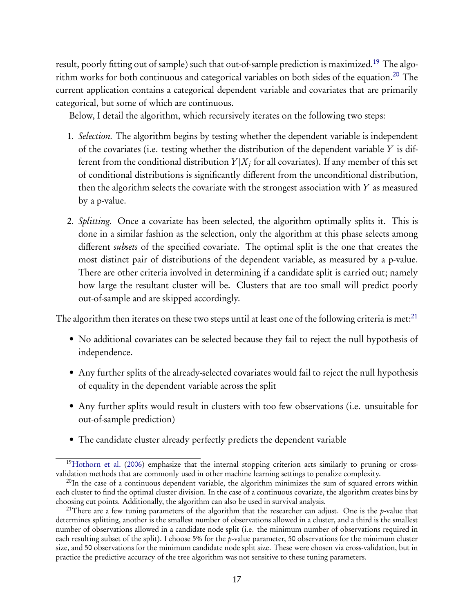result, poorly fitting out of sample) such that out-of-sample prediction is maximized.<sup>[19](#page-16-0)</sup> The algorithm works for both continuous and categorical variables on both sides of the equation.[20](#page-16-1) The current application contains a categorical dependent variable and covariates that are primarily categorical, but some of which are continuous.

Below, I detail the algorithm, which recursively iterates on the following two steps:

- 1. *Selection.* The algorithm begins by testing whether the dependent variable is independent of the covariates (i.e. testing whether the distribution of the dependent variable *Y* is different from the conditional distribution  $Y|X_j$  for all covariates). If any member of this set of conditional distributions is significantly different from the unconditional distribution, then the algorithm selects the covariate with the strongest association with *Y* as measured by a p-value.
- 2. *Splitting.* Once a covariate has been selected, the algorithm optimally splits it. This is done in a similar fashion as the selection, only the algorithm at this phase selects among different *subsets* of the specified covariate. The optimal split is the one that creates the most distinct pair of distributions of the dependent variable, as measured by a p-value. There are other criteria involved in determining if a candidate split is carried out; namely how large the resultant cluster will be. Clusters that are too small will predict poorly out-of-sample and are skipped accordingly.

The algorithm then iterates on these two steps until at least one of the following criteria is met:  $21$ 

- No additional covariates can be selected because they fail to reject the null hypothesis of independence.
- Any further splits of the already-selected covariates would fail to reject the null hypothesis of equality in the dependent variable across the split
- Any further splits would result in clusters with too few observations (i.e. unsuitable for out-of-sample prediction)
- The candidate cluster already perfectly predicts the dependent variable

<span id="page-16-0"></span><sup>&</sup>lt;sup>19</sup>[Hothorn et al.](#page-25-14) [\(2006](#page-25-14)) emphasize that the internal stopping criterion acts similarly to pruning or crossvalidation methods that are commonly used in other machine learning settings to penalize complexity.

<span id="page-16-1"></span><sup>&</sup>lt;sup>20</sup>In the case of a continuous dependent variable, the algorithm minimizes the sum of squared errors within each cluster to find the optimal cluster division. In the case of a continuous covariate, the algorithm creates bins by choosing cut points. Additionally, the algorithm can also be used in survival analysis.

<span id="page-16-2"></span><sup>&</sup>lt;sup>21</sup>There are a few tuning parameters of the algorithm that the researcher can adjust. One is the p-value that determines splitting, another is the smallest number of observations allowed in a cluster, and a third is the smallest number of observations allowed in a candidate node split (i.e. the minimum number of observations required in each resulting subset of the split). I choose 5% for the p-value parameter, 50 observations for the minimum cluster size, and 50 observations for the minimum candidate node split size. These were chosen via cross-validation, but in practice the predictive accuracy of the tree algorithm was not sensitive to these tuning parameters.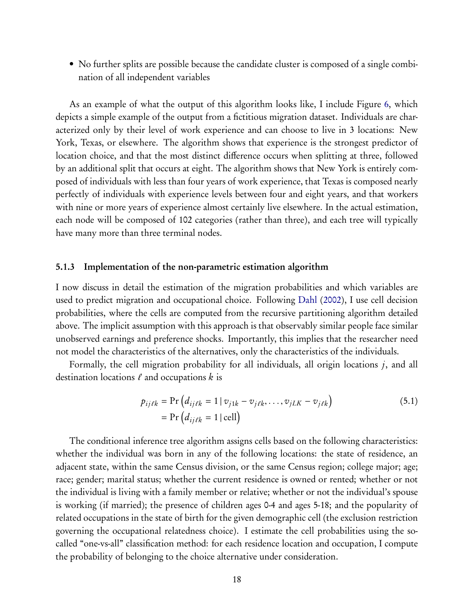• No further splits are possible because the candidate cluster is composed of a single combination of all independent variables

As an example of what the output of this algorithm looks like, I include Figure [6,](#page-35-0) which depicts a simple example of the output from a fictitious migration dataset. Individuals are characterized only by their level of work experience and can choose to live in 3 locations: New York, Texas, or elsewhere. The algorithm shows that experience is the strongest predictor of location choice, and that the most distinct difference occurs when splitting at three, followed by an additional split that occurs at eight. The algorithm shows that New York is entirely composed of individuals with less than four years of work experience, that Texas is composed nearly perfectly of individuals with experience levels between four and eight years, and that workers with nine or more years of experience almost certainly live elsewhere. In the actual estimation, each node will be composed of 102 categories (rather than three), and each tree will typically have many more than three terminal nodes.

#### 5.1.3 Implementation of the non-parametric estimation algorithm

I now discuss in detail the estimation of the migration probabilities and which variables are used to predict migration and occupational choice. Following [Dahl](#page-24-0) ([2002](#page-24-0)), I use cell decision probabilities, where the cells are computed from the recursive partitioning algorithm detailed above. The implicit assumption with this approach is that observably similar people face similar unobserved earnings and preference shocks. Importantly, this implies that the researcher need not model the characteristics of the alternatives, only the characteristics of the individuals.

Formally, the cell migration probability for all individuals, all origin locations *j*, and all destination locations  $\ell$  and occupations  $k$  is

<span id="page-17-0"></span>
$$
p_{ij\ell k} = \Pr\left(d_{ij\ell k} = 1 \mid v_{j1k} - v_{j\ell k}, \dots, v_{jLK} - v_{j\ell k}\right)
$$
  
= 
$$
\Pr\left(d_{ij\ell k} = 1 \mid \text{cell}\right)
$$
 (5.1)

The conditional inference tree algorithm assigns cells based on the following characteristics: whether the individual was born in any of the following locations: the state of residence, an adjacent state, within the same Census division, or the same Census region; college major; age; race; gender; marital status; whether the current residence is owned or rented; whether or not the individual is living with a family member or relative; whether or not the individual's spouse is working (if married); the presence of children ages 0-4 and ages 5-18; and the popularity of related occupations in the state of birth for the given demographic cell ( the exclusion restriction governing the occupational relatedness choice). I estimate the cell probabilities using the socalled "one-vs-all" classification method: for each residence location and occupation, I compute the probability of belonging to the choice alternative under consideration.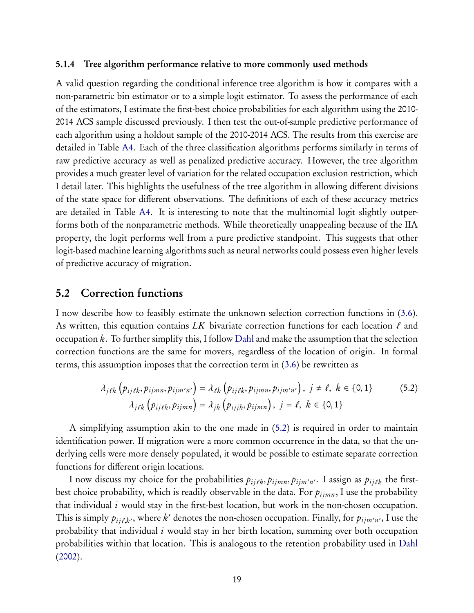#### 5.1.4 Tree algorithm performance relative to more commonly used methods

A valid question regarding the conditional inference tree algorithm is how it compares with a non-parametric bin estimator or to a simple logit estimator. To assess the performance of each of the estimators, I estimate the first-best choice probabilities for each algorithm using the 2010- 2014 ACS sample discussed previously. I then test the out-of-sample predictive performance of each algorithm using a holdout sample of the 2010-2014 ACS. The results from this exercise are detailed in Table [A4.](#page-46-0) Each of the three classification algorithms performs similarly in terms of raw predictive accuracy as well as penalized predictive accuracy. However, the tree algorithm provides a much greater level of variation for the related occupation exclusion restriction, which I detail later. This highlights the usefulness of the tree algorithm in allowing different divisions of the state space for different observations. The definitions of each of these accuracy metrics are detailed in Table [A4.](#page-46-0) It is interesting to note that the multinomial logit slightly outperforms both of the nonparametric methods. While theoretically unappealing because of the IIA property, the logit performs well from a pure predictive standpoint. This suggests that other logit-based machine learning algorithms such as neural networks could possess even higher levels of predictive accuracy of migration.

### <span id="page-18-1"></span>5.2 Correction functions

I now describe how to feasibly estimate the unknown selection correction functions in [\(3.6\)](#page-8-2). As written, this equation contains  $LK$  bivariate correction functions for each location  $\ell$  and occupation *k*. To further simplify this, I follow [Dahl](#page-24-0) and make the assumption that the selection correction functions are the same for movers, regardless of the location of origin. In formal terms, this assumption imposes that the correction term in [\(3.6\)](#page-8-2) be rewritten as

<span id="page-18-0"></span>
$$
\lambda_{j\ell k} \left( p_{ij\ell k}, p_{ijmn}, p_{ijm'n'} \right) = \lambda_{\ell k} \left( p_{ij\ell k}, p_{ijmn}, p_{ijm'n'} \right), j \neq \ell, k \in \{0, 1\}
$$
\n
$$
\lambda_{j\ell k} \left( p_{ij\ell k}, p_{ijmn} \right) = \lambda_{jk} \left( p_{ijjk}, p_{ijmn} \right), j = \ell, k \in \{0, 1\}
$$
\n(5.2)

A simplifying assumption akin to the one made in([5.2\)](#page-18-0) is required in order to maintain identification power. If migration were a more common occurrence in the data, so that the underlying cells were more densely populated, it would be possible to estimate separate correction functions for different origin locations.

I now discuss my choice for the probabilities  $p_{ij\ell k}, p_{ijmn}, p_{ijm'n'}$ . I assign as  $p_{ij\ell k}$  the firstbest choice probability, which is readily observable in the data. For  $p_{ijmn}$ , I use the probability that individual *i* would stay in the first-best location, but work in the non-chosen occupation. This is simply  $p_{ij\ell,k'}$ , where  $k'$  denotes the non-chosen occupation. Finally, for  $p_{ijm'n'}$ , I use the probability that individual *i* would stay in her birth location, summing over both occupation probabilities within that location. This is analogous to the retention probability used in [Dahl](#page-24-0) [\(2002](#page-24-0)).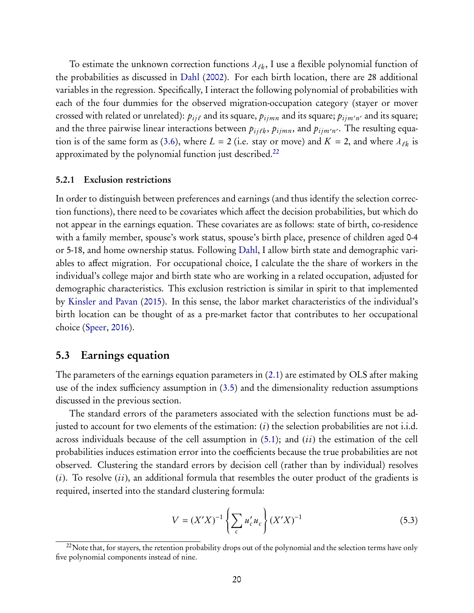To estimate the unknown correction functions  $\lambda_{\ell k}$ , I use a flexible polynomial function of the probabilities as discussed in [Dahl](#page-24-0) [\(2002](#page-24-0)). For each birth location, there are 28 additional variables in the regression. Specifically, I interact the following polynomial of probabilities with each of the four dummies for the observed migration-occupation category (stayer or mover crossed with related or unrelated):  $p_{ij\ell}$  and its square,  $p_{ijmn}$  and its square;  $p_{ijm'n'}$  and its square; and the three pairwise linear interactions between  $p_{ij\ell k},$   $p_{ijmn},$  and  $p_{ijm'n'}.$  The resulting equa-tion is of the same form as [\(3.6\)](#page-8-2), where  $L = 2$  (i.e. stay or move) and  $K = 2$ , and where  $\lambda_{\ell k}$  is approximated by the polynomial function just described.<sup>[22](#page-19-0)</sup>

#### 5.2.1 Exclusion restrictions

In order to distinguish between preferences and earnings (and thus identify the selection correction functions), there need to be covariates which affect the decision probabilities, but which do not appear in the earnings equation. These covariates are as follows: state of birth, co-residence with a family member, spouse's work status, spouse's birth place, presence of children aged 0-4 or 5-18, and home ownership status. Following [Dahl,](#page-24-0) I allow birth state and demographic variables to affect migration. For occupational choice, I calculate the the share of workers in the individual's college major and birth state who are working in a related occupation, adjusted for demographic characteristics. This exclusion restriction is similar in spirit to that implemented by [Kinsler and Pavan](#page-25-1) ([2015](#page-25-1)). In this sense, the labor market characteristics of the individual's birth location can be thought of as a pre-market factor that contributes to her occupational choice([Speer,](#page-25-16) [2016](#page-25-16)).

### 5.3 Earnings equation

The parameters of the earnings equation parameters in([2.1\)](#page-3-2) are estimated by OLS after making use of the index sufficiency assumption in [\(3.5\)](#page-8-1) and the dimensionality reduction assumptions discussed in the previous section.

The standard errors of the parameters associated with the selection functions must be adjusted to account for two elements of the estimation: (*i*) the selection probabilities are not i.i.d. across individuals because of the cell assumption in [\(5.1\)](#page-17-0); and (*ii*) the estimation of the cell probabilities induces estimation error into the coefficients because the true probabilities are not observed. Clustering the standard errors by decision cell (rather than by individual) resolves (*i*). To resolve (*ii*), an additional formula that resembles the outer product of the gradients is required, inserted into the standard clustering formula:

$$
V = (X'X)^{-1} \left\{ \sum_{c} u'_{c} u_{c} \right\} (X'X)^{-1}
$$
 (5.3)

<span id="page-19-0"></span><sup>&</sup>lt;sup>22</sup>Note that, for stayers, the retention probability drops out of the polynomial and the selection terms have only five polynomial components instead of nine.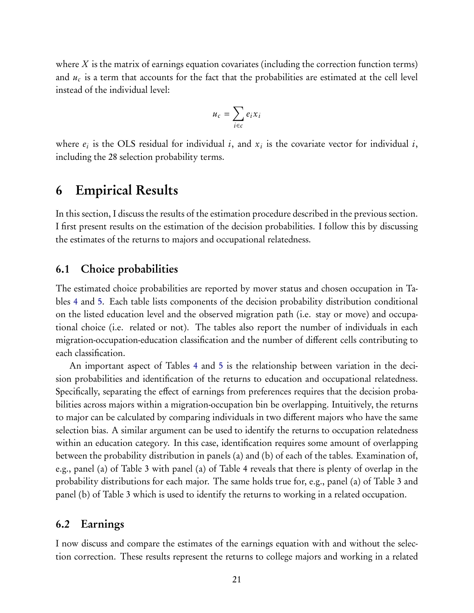where *X* is the matrix of earnings equation covariates (including the correction function terms) and  $u_c$  is a term that accounts for the fact that the probabilities are estimated at the cell level instead of the individual level:

$$
u_c = \sum_{i \in c} e_i x_i
$$

where  $e_i$  is the OLS residual for individual *i*, and  $x_i$  is the covariate vector for individual *i*, including the 28 selection probability terms.

## <span id="page-20-0"></span>6 Empirical Results

In this section, I discuss the results of the estimation procedure described in the previous section. I first present results on the estimation of the decision probabilities. I follow this by discussing the estimates of the returns to majors and occupational relatedness.

### 6.1 Choice probabilities

The estimated choice probabilities are reported by mover status and chosen occupation in Tables [4](#page-36-0) and [5.](#page-37-0) Each table lists components of the decision probability distribution conditional on the listed education level and the observed migration path (i.e. stay or move) and occupational choice (i.e. related or not). The tables also report the number of individuals in each migration-occupation-education classification and the number of different cells contributing to each classification.

An important aspect of Tables [4](#page-36-0) and [5](#page-37-0) is the relationship between variation in the decision probabilities and identification of the returns to education and occupational relatedness. Specifically, separating the effect of earnings from preferences requires that the decision probabilities across majors within a migration-occupation bin be overlapping. Intuitively, the returns to major can be calculated by comparing individuals in two different majors who have the same selection bias. A similar argument can be used to identify the returns to occupation relatedness within an education category. In this case, identification requires some amount of overlapping between the probability distribution in panels (a) and (b) of each of the tables. Examination of, e.g., panel (a) of Table 3 with panel (a) of Table 4 reveals that there is plenty of overlap in the probability distributions for each major. The same holds true for, e.g., panel (a) of Table 3 and panel (b) of Table 3 which is used to identify the returns to working in a related occupation.

### 6.2 Earnings

I now discuss and compare the estimates of the earnings equation with and without the selection correction. These results represent the returns to college majors and working in a related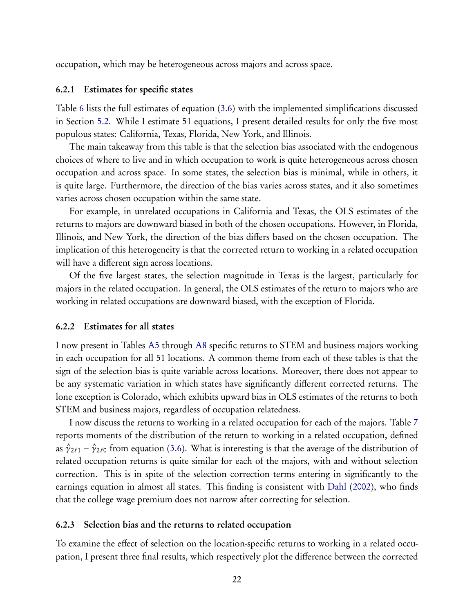occupation, which may be heterogeneous across majors and across space.

#### 6.2.1 Estimates for specific states

Table [6](#page-38-0) lists the full estimates of equation [\(3.6\)](#page-8-2) with the implemented simplifications discussed in Section [5.2.](#page-18-1) While I estimate 51 equations, I present detailed results for only the five most populous states: California, Texas, Florida, New York, and Illinois.

The main takeaway from this table is that the selection bias associated with the endogenous choices of where to live and in which occupation to work is quite heterogeneous across chosen occupation and across space. In some states, the selection bias is minimal, while in others, it is quite large. Furthermore, the direction of the bias varies across states, and it also sometimes varies across chosen occupation within the same state.

For example, in unrelated occupations in California and Texas, the OLS estimates of the returns to majors are downward biased in both of the chosen occupations. However, in Florida, Illinois, and New York, the direction of the bias differs based on the chosen occupation. The implication of this heterogeneity is that the corrected return to working in a related occupation will have a different sign across locations.

Of the five largest states, the selection magnitude in Texas is the largest, particularly for majors in the related occupation. In general, the OLS estimates of the return to majors who are working in related occupations are downward biased, with the exception of Florida.

#### 6.2.2 Estimates for all states

I now present in Tables [A5](#page-47-0) through [A8](#page-50-0) specific returns to STEM and business majors working in each occupation for all 51 locations. A common theme from each of these tables is that the sign of the selection bias is quite variable across locations. Moreover, there does not appear to be any systematic variation in which states have significantly different corrected returns. The lone exception is Colorado, which exhibits upward bias in OLS estimates of the returns to both STEM and business majors, regardless of occupation relatedness.

I now discuss the returns to working in a related occupation for each of the majors. Table [7](#page-39-0) reports moments of the distribution of the return to working in a related occupation, defined as $\hat{\gamma}_{2\ell 1} - \hat{\gamma}_{2\ell 0}$  from equation ([3.6\)](#page-8-2). What is interesting is that the average of the distribution of related occupation returns is quite similar for each of the majors, with and without selection correction. This is in spite of the selection correction terms entering in significantly to the earnings equation in almost all states. This finding is consistent with [Dahl](#page-24-0) ([2002](#page-24-0)), who finds that the college wage premium does not narrow after correcting for selection.

#### 6.2.3 Selection bias and the returns to related occupation

To examine the effect of selection on the location-specific returns to working in a related occupation, I present three final results, which respectively plot the difference between the corrected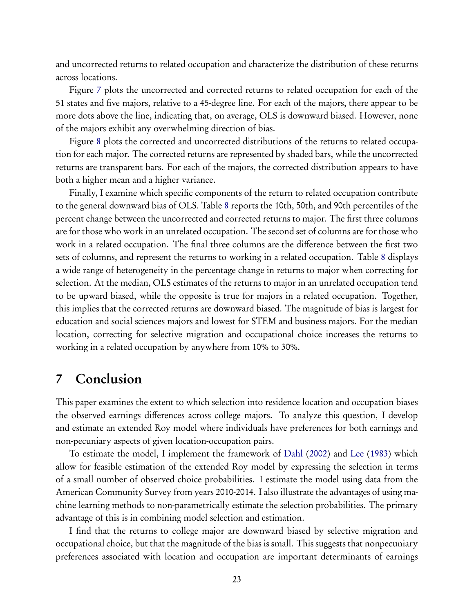and uncorrected returns to related occupation and characterize the distribution of these returns across locations.

Figure [7](#page-40-0) plots the uncorrected and corrected returns to related occupation for each of the 51 states and five majors, relative to a 45-degree line. For each of the majors, there appear to be more dots above the line, indicating that, on average, OLS is downward biased. However, none of the majors exhibit any overwhelming direction of bias.

Figure [8](#page-41-0) plots the corrected and uncorrected distributions of the returns to related occupation for each major. The corrected returns are represented by shaded bars, while the uncorrected returns are transparent bars. For each of the majors, the corrected distribution appears to have both a higher mean and a higher variance.

Finally, I examine which specific components of the return to related occupation contribute to the general downward bias of OLS. Table [8](#page-42-0) reports the 10th, 50th, and 90th percentiles of the percent change between the uncorrected and corrected returns to major. The first three columns are for those who work in an unrelated occupation. The second set of columns are for those who work in a related occupation. The final three columns are the difference between the first two sets of columns, and represent the returns to working in a related occupation. Table [8](#page-42-0) displays a wide range of heterogeneity in the percentage change in returns to major when correcting for selection. At the median, OLS estimates of the returns to major in an unrelated occupation tend to be upward biased, while the opposite is true for majors in a related occupation. Together, this implies that the corrected returns are downward biased. The magnitude of bias is largest for education and social sciences majors and lowest for STEM and business majors. For the median location, correcting for selective migration and occupational choice increases the returns to working in a related occupation by anywhere from 10% to 30%.

## <span id="page-22-0"></span>7 Conclusion

This paper examines the extent to which selection into residence location and occupation biases the observed earnings differences across college majors. To analyze this question, I develop and estimate an extended Roy model where individuals have preferences for both earnings and non-pecuniary aspects of given location-occupation pairs.

To estimate the model, I implement the framework of [Dahl](#page-24-0) ([2002](#page-24-0)) and [Lee](#page-25-3) [\(1983](#page-25-3)) which allow for feasible estimation of the extended Roy model by expressing the selection in terms of a small number of observed choice probabilities. I estimate the model using data from the American Community Survey from years 2010-2014. I also illustrate the advantages of using machine learning methods to non-parametrically estimate the selection probabilities. The primary advantage of this is in combining model selection and estimation.

I find that the returns to college major are downward biased by selective migration and occupational choice, but that the magnitude of the bias is small. This suggests that nonpecuniary preferences associated with location and occupation are important determinants of earnings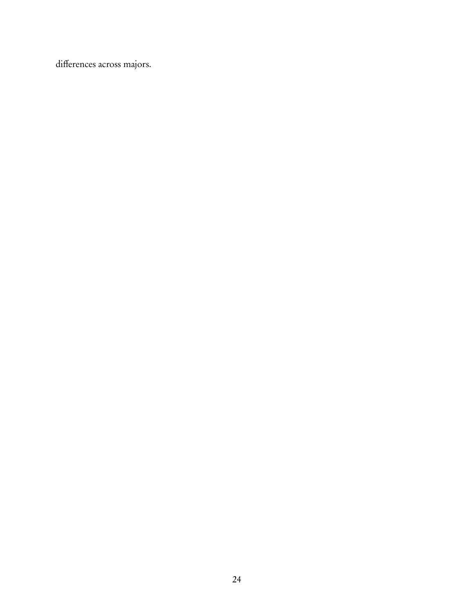differences across majors.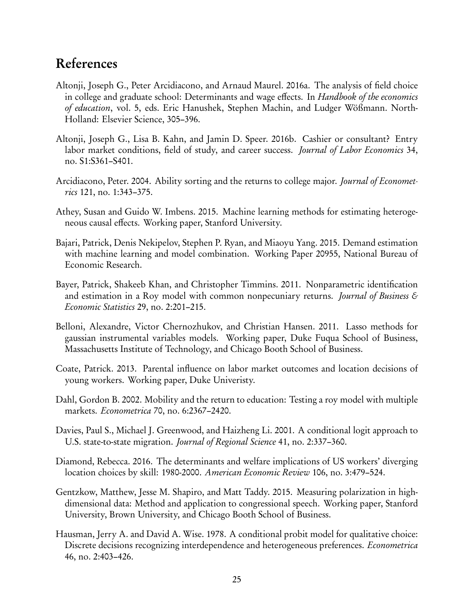## References

- <span id="page-24-2"></span>Altonji, Joseph G., Peter Arcidiacono, and Arnaud Maurel. 2016a. The analysis of field choice in college and graduate school: Determinants and wage effects. In *Handbook of the economics of education*, vol. 5, eds. Eric Hanushek, Stephen Machin, and Ludger Wößmann. North-Holland: Elsevier Science, 305–396.
- <span id="page-24-3"></span>Altonji, Joseph G., Lisa B. Kahn, and Jamin D. Speer. 2016b. Cashier or consultant? Entry labor market conditions, field of study, and career success. *Journal of Labor Economics* 34, no. S1:S361–S401.
- <span id="page-24-6"></span>Arcidiacono, Peter. 2004. Ability sorting and the returns to college major. *Journal of Econometrics* 121, no. 1:343–375.
- <span id="page-24-10"></span>Athey, Susan and Guido W. Imbens. 2015. Machine learning methods for estimating heterogeneous causal effects. Working paper, Stanford University.
- <span id="page-24-4"></span>Bajari, Patrick, Denis Nekipelov, Stephen P. Ryan, and Miaoyu Yang. 2015. Demand estimation with machine learning and model combination. Working Paper 20955, National Bureau of Economic Research.
- <span id="page-24-1"></span>Bayer, Patrick, Shakeeb Khan, and Christopher Timmins. 2011. Nonparametric identification and estimation in a Roy model with common nonpecuniary returns. *Journal of Business & Economic Statistics* 29, no. 2:201–215.
- <span id="page-24-12"></span>Belloni, Alexandre, Victor Chernozhukov, and Christian Hansen. 2011. Lasso methods for gaussian instrumental variables models. Working paper, Duke Fuqua School of Business, Massachusetts Institute of Technology, and Chicago Booth School of Business.
- <span id="page-24-7"></span>Coate, Patrick. 2013. Parental influence on labor market outcomes and location decisions of young workers. Working paper, Duke Univeristy.
- <span id="page-24-0"></span>Dahl, Gordon B. 2002. Mobility and the return to education: Testing a roy model with multiple markets. *Econometrica* 70, no. 6:2367–2420.
- <span id="page-24-9"></span>Davies, Paul S., Michael J. Greenwood, and Haizheng Li. 2001. A conditional logit approach to U.S. state-to-state migration. *Journal of Regional Science* 41, no. 2:337–360.
- <span id="page-24-5"></span>Diamond, Rebecca. 2016. The determinants and welfare implications of US workers' diverging location choices by skill: 1980-2000. *American Economic Review* 106, no. 3:479–524.
- <span id="page-24-11"></span>Gentzkow, Matthew, Jesse M. Shapiro, and Matt Taddy. 2015. Measuring polarization in highdimensional data: Method and application to congressional speech. Working paper, Stanford University, Brown University, and Chicago Booth School of Business.
- <span id="page-24-8"></span>Hausman, Jerry A. and David A. Wise. 1978. A conditional probit model for qualitative choice: Discrete decisions recognizing interdependence and heterogeneous preferences. *Econometrica* 46, no. 2:403–426.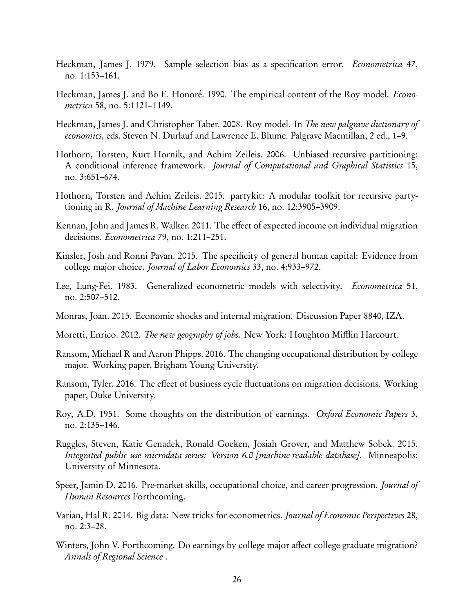- <span id="page-25-5"></span>Heckman, James J. 1979. Sample selection bias as a specification error. *Econometrica* 47, no. 1:153–161.
- <span id="page-25-11"></span>Heckman, James J. and Bo E. Honoré. 1990. The empirical content of the Roy model. *Econometrica* 58, no. 5:1121–1149.
- <span id="page-25-10"></span>Heckman, James J. and Christopher Taber. 2008. Roy model. In *The new palgrave dictionary of economics*, eds. Steven N. Durlauf and Lawrence E. Blume. Palgrave Macmillan, 2 ed., 1–9.
- <span id="page-25-14"></span>Hothorn, Torsten, Kurt Hornik, and Achim Zeileis. 2006. Unbiased recursive partitioning: A conditional inference framework. *Journal of Computational and Graphical Statistics* 15, no. 3:651–674.
- <span id="page-25-15"></span>Hothorn, Torsten and Achim Zeileis. 2015. partykit: A modular toolkit for recursive partytioning in R. *Journal of Machine Learning Research* 16, no. 12:3905–3909.
- <span id="page-25-7"></span>Kennan, John and James R. Walker. 2011. The effect of expected income on individual migration decisions. *Econometrica* 79, no. 1:211–251.
- <span id="page-25-1"></span>Kinsler, Josh and Ronni Pavan. 2015. The specificity of general human capital: Evidence from college major choice. *Journal of Labor Economics* 33, no. 4:933–972.
- <span id="page-25-3"></span>Lee, Lung-Fei. 1983. Generalized econometric models with selectivity. *Econometrica* 51, no. 2:507–512.
- <span id="page-25-13"></span>Monras, Joan. 2015. Economic shocks and internal migration. Discussion Paper 8840, IZA.
- <span id="page-25-6"></span>Moretti, Enrico. 2012. *The new geography of jobs*. New York: Houghton Mifflin Harcourt.
- <span id="page-25-9"></span>Ransom, Michael R and Aaron Phipps. 2016. The changing occupational distribution by college major. Working paper, Brigham Young University.
- <span id="page-25-8"></span>Ransom, Tyler. 2016. The effect of business cycle fluctuations on migration decisions. Working paper, Duke University.
- <span id="page-25-0"></span>Roy, A.D. 1951. Some thoughts on the distribution of earnings. *Oxford Economic Papers* 3, no. 2:135–146.
- <span id="page-25-12"></span>Ruggles, Steven, Katie Genadek, Ronald Goeken, Josiah Grover, and Matthew Sobek. 2015. *Integrated public use microdata series: Version 6.0 [machine-readable database]*. Minneapolis: University of Minnesota.
- <span id="page-25-16"></span>Speer, Jamin D. 2016. Pre-market skills, occupational choice, and career progression. *Journal of Human Resources* Forthcoming.
- <span id="page-25-4"></span>Varian, Hal R. 2014. Big data: New tricks for econometrics. *Journal of Economic Perspectives* 28, no. 2:3–28.
- <span id="page-25-2"></span>Winters, John V. Forthcoming. Do earnings by college major affect college graduate migration? *Annals of Regional Science* .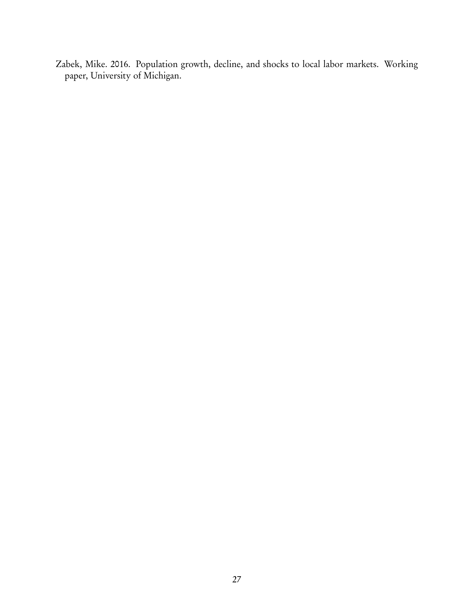<span id="page-26-0"></span>Zabek, Mike. 2016. Population growth, decline, and shocks to local labor markets. Working paper, University of Michigan.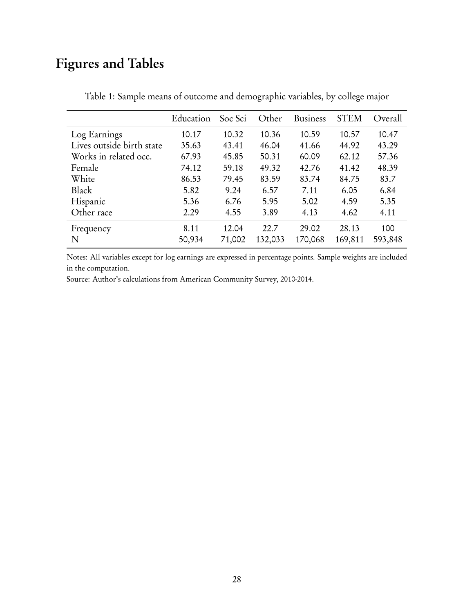# <span id="page-27-0"></span>Figures and Tables

|                           | Education | Soc Sci | Other   | <b>Business</b> | <b>STEM</b> | Overall |
|---------------------------|-----------|---------|---------|-----------------|-------------|---------|
| Log Earnings              | 10.17     | 10.32   | 10.36   | 10.59           | 10.57       | 10.47   |
| Lives outside birth state | 35.63     | 43.41   | 46.04   | 41.66           | 44.92       | 43.29   |
| Works in related occ.     | 67.93     | 45.85   | 50.31   | 60.09           | 62.12       | 57.36   |
| Female                    | 74.12     | 59.18   | 49.32   | 42.76           | 41.42       | 48.39   |
| White                     | 86.53     | 79.45   | 83.59   | 83.74           | 84.75       | 83.7    |
| Black                     | 5.82      | 9.24    | 6.57    | 7.11            | 6.05        | 6.84    |
| Hispanic                  | 5.36      | 6.76    | 5.95    | 5.02            | 4.59        | 5.35    |
| Other race                | 2.29      | 4.55    | 3.89    | 4.13            | 4.62        | 4.11    |
| Frequency                 | 8.11      | 12.04   | 22.7    | 29.02           | 28.13       | 100     |
| N                         | 50,934    | 71,002  | 132,033 | 170,068         | 169,811     | 593,848 |

Table 1: Sample means of outcome and demographic variables, by college major

Notes: All variables except for log earnings are expressed in percentage points. Sample weights are included in the computation.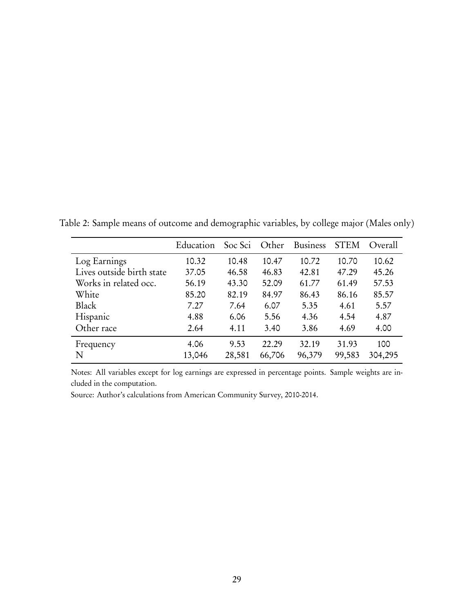|                           | Education | Soc Sci | Other  | <b>Business</b> | <b>STEM</b> | Overall |
|---------------------------|-----------|---------|--------|-----------------|-------------|---------|
| Log Earnings              | 10.32     | 10.48   | 10.47  | 10.72           | 10.70       | 10.62   |
| Lives outside birth state | 37.05     | 46.58   | 46.83  | 42.81           | 47.29       | 45.26   |
| Works in related occ.     | 56.19     | 43.30   | 52.09  | 61.77           | 61.49       | 57.53   |
| White                     | 85.20     | 82.19   | 84.97  | 86.43           | 86.16       | 85.57   |
| <b>Black</b>              | 7.27      | 7.64    | 6.07   | 5.35            | 4.61        | 5.57    |
| Hispanic                  | 4.88      | 6.06    | 5.56   | 4.36            | 4.54        | 4.87    |
| Other race                | 2.64      | 4.11    | 3.40   | 3.86            | 4.69        | 4.00    |
| Frequency                 | 4.06      | 9.53    | 22.29  | 32.19           | 31.93       | 100     |
| N                         | 13,046    | 28,581  | 66,706 | 96,379          | 99,583      | 304,295 |

Table 2: Sample means of outcome and demographic variables, by college major (Males only)

Notes: All variables except for log earnings are expressed in percentage points. Sample weights are included in the computation.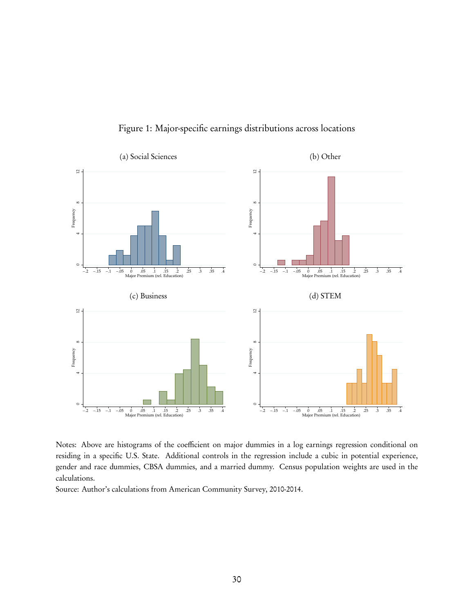<span id="page-29-0"></span>

Figure 1: Major-specific earnings distributions across locations

Notes: Above are histograms of the coefficient on major dummies in a log earnings regression conditional on residing in a specific U.S. State. Additional controls in the regression include a cubic in potential experience, gender and race dummies, CBSA dummies, and a married dummy. Census population weights are used in the calculations.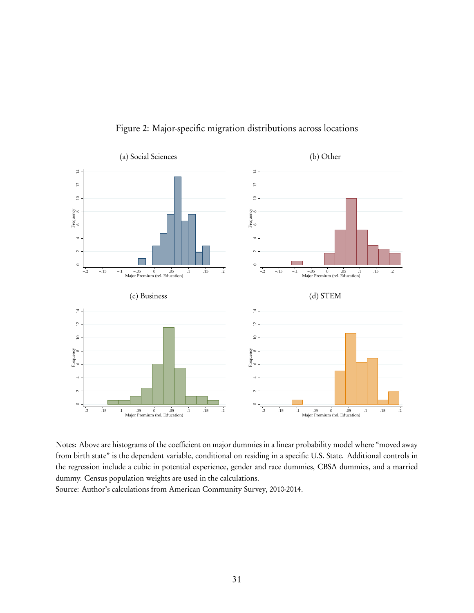<span id="page-30-0"></span>

Figure 2: Major-specific migration distributions across locations

Notes: Above are histograms of the coefficient on major dummies in a linear probability model where "moved away from birth state" is the dependent variable, conditional on residing in a specific U.S. State. Additional controls in the regression include a cubic in potential experience, gender and race dummies, CBSA dummies, and a married dummy. Census population weights are used in the calculations.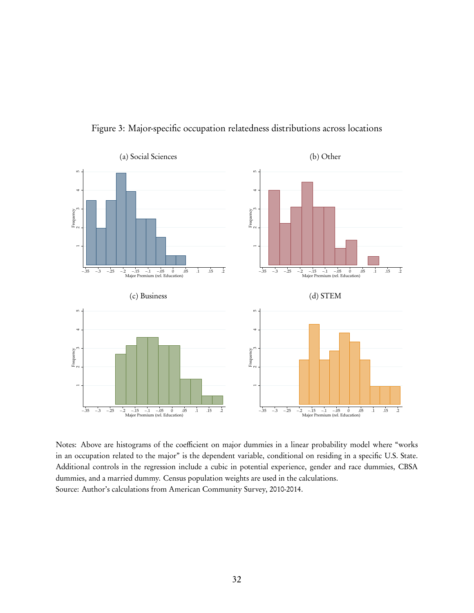<span id="page-31-0"></span>

Figure 3: Major-specific occupation relatedness distributions across locations

Notes: Above are histograms of the coefficient on major dummies in a linear probability model where "works in an occupation related to the major" is the dependent variable, conditional on residing in a specific U.S. State. Additional controls in the regression include a cubic in potential experience, gender and race dummies, CBSA dummies, and a married dummy. Census population weights are used in the calculations. Source: Author's calculations from American Community Survey, 2010-2014.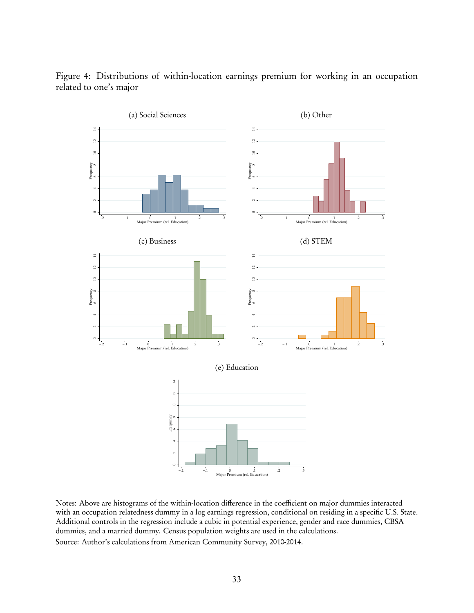

<span id="page-32-0"></span>Figure 4: Distributions of within-location earnings premium for working in an occupation related to one's major

Notes: Above are histograms of the within-location difference in the coefficient on major dummies interacted with an occupation relatedness dummy in a log earnings regression, conditional on residing in a specific U.S. State. Additional controls in the regression include a cubic in potential experience, gender and race dummies, CBSA dummies, and a married dummy. Census population weights are used in the calculations. Source: Author's calculations from American Community Survey, 2010-2014.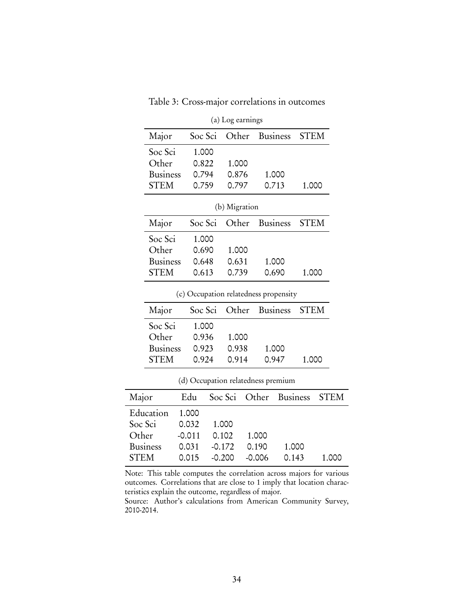| Table 3: Cross-major correlations in outcomes |                  |  |  |
|-----------------------------------------------|------------------|--|--|
|                                               | (a) Log earnings |  |  |

<span id="page-33-0"></span>

|         | Major           | Soc Sci                               | Other         | <b>Business</b> |                 | <b>STEM</b> |             |
|---------|-----------------|---------------------------------------|---------------|-----------------|-----------------|-------------|-------------|
|         | Soc Sci         | 1.000                                 |               |                 |                 |             |             |
|         | Other           | 0.822                                 | 1.000         |                 |                 |             |             |
|         | <b>Business</b> | 0.794                                 | 0.876         |                 | 1.000           |             |             |
|         | <b>STEM</b>     | 0.759                                 | 0.797         | 0.713           |                 | 1.000       |             |
|         |                 |                                       | (b) Migration |                 |                 |             |             |
|         | Major           | Soc Sci                               | Other         | <b>Business</b> |                 | <b>STEM</b> |             |
|         | Soc Sci         | 1.000                                 |               |                 |                 |             |             |
|         | Other           | 0.690                                 | 1.000         |                 |                 |             |             |
|         | <b>Business</b> | 0.648                                 | 0.631         |                 | 1.000           |             |             |
|         | <b>STEM</b>     | 0.613                                 | 0.739         | 0.690           |                 | 1.000       |             |
|         |                 | (c) Occupation relatedness propensity |               |                 |                 |             |             |
|         | Major           | Soc Sci                               | Other         | <b>Business</b> |                 | <b>STEM</b> |             |
|         | Soc Sci         | 1.000                                 |               |                 |                 |             |             |
|         | Other           | 0.936                                 | 1.000         |                 |                 |             |             |
|         | <b>Business</b> | 0.923                                 | 0.938         |                 | 1.000           |             |             |
|         | <b>STEM</b>     | 0.924                                 | 0.914         | 0.947           |                 | 1.000       |             |
|         |                 | (d) Occupation relatedness premium    |               |                 |                 |             |             |
| Major   |                 | Edu                                   | Soc Sci       | Other           | <b>Business</b> |             | <b>STEM</b> |
|         | Education       | 1.000                                 |               |                 |                 |             |             |
| Soc Sci |                 | 0.032                                 | 1.000         |                 |                 |             |             |
| Other   |                 | $-0.011$                              | 0.102         | 1.000           |                 |             |             |
|         | Business        | 0.031                                 | $-0.172$      | 0.190           | 1.000           |             |             |

Note: This table computes the correlation across majors for various outcomes. Correlations that are close to 1 imply that location characteristics explain the outcome, regardless of major.

STEM 0.015 -0.200 -0.006 0.143 1.000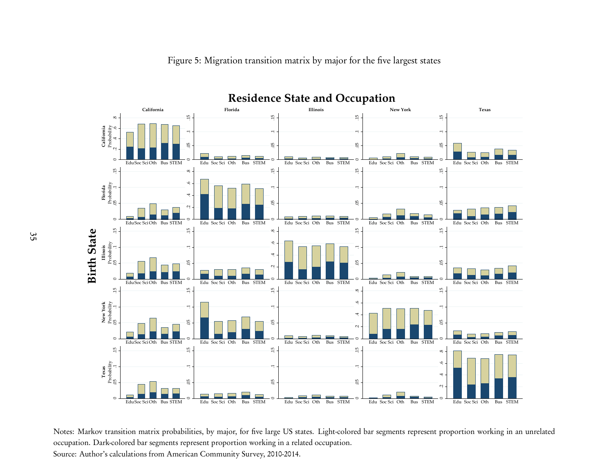

<span id="page-34-0"></span>Figure 5: Migration transition matrix by major for the five largest states

Notes: Markov transition matrix probabilities, by major, for five large US states. Light-colored bar segments represent proportion working in an unrelatedoccupation. Dark-colored bar segments represent proportion working in <sup>a</sup> related occupation. Source: Author's calculations from American Community Survey, 2010-2014.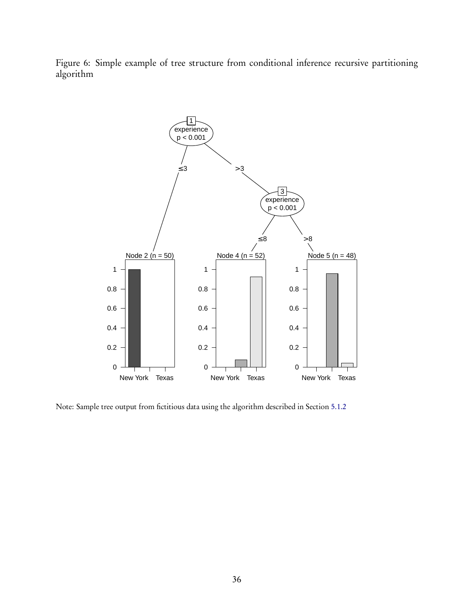<span id="page-35-0"></span>Figure 6: Simple example of tree structure from conditional inference recursive partitioning algorithm



Note: Sample tree output from fictitious data using the algorithm described in Section [5.1.2](#page-15-2)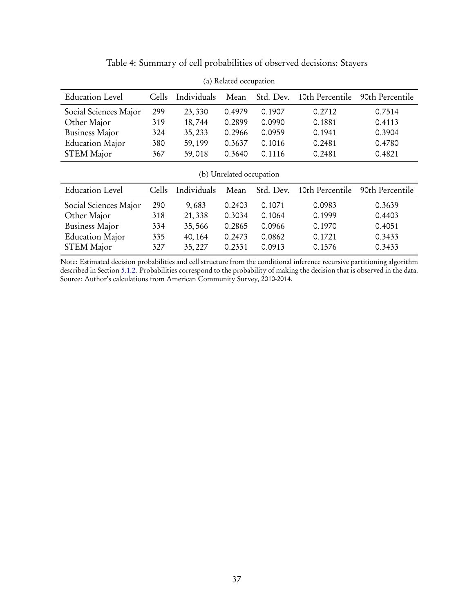<span id="page-36-0"></span>

| <b>Education Level</b>   | Cells | Individuals | Mean   | Std. Dev. | 10th Percentile | 90th Percentile |  |  |
|--------------------------|-------|-------------|--------|-----------|-----------------|-----------------|--|--|
| Social Sciences Major    | 299   | 23,330      | 0.4979 | 0.1907    | 0.2712          | 0.7514          |  |  |
| Other Major              | 319   | 18,744      | 0.2899 | 0.0990    | 0.1881          | 0.4113          |  |  |
| <b>Business Major</b>    | 324   | 35, 233     | 0.2966 | 0.0959    | 0.1941          | 0.3904          |  |  |
| <b>Education Major</b>   | 380   | 59, 199     | 0.3637 | 0.1016    | 0.2481          | 0.4780          |  |  |
| <b>STEM Major</b>        | 367   | 59,018      | 0.3640 | 0.1116    | 0.2481          | 0.4821          |  |  |
| (b) Unrelated occupation |       |             |        |           |                 |                 |  |  |
|                          |       |             |        |           |                 |                 |  |  |
| <b>Education Level</b>   | Cells | Individuals | Mean   | Std. Dev. | 10th Percentile | 90th Percentile |  |  |
| Social Sciences Major    | 290   | 9,683       | 0.2403 | 0.1071    | 0.0983          | 0.3639          |  |  |
| Other Major              | 318   | 21,338      | 0.3034 | 0.1064    | 0.1999          | 0.4403          |  |  |
| <b>Business Major</b>    | 334   | 35,566      | 0.2865 | 0.0966    | 0.1970          | 0.4051          |  |  |
| <b>Education Major</b>   | 335   | 40, 164     | 0.2473 | 0.0862    | 0.1721          | 0.3433          |  |  |

Table 4: Summary of cell probabilities of observed decisions: Stayers

(a) Related occupation

Note: Estimated decision probabilities and cell structure from the conditional inference recursive partitioning algorithm described in Section [5.1.2.](#page-15-2) Probabilities correspond to the probability of making the decision that is observed in the data. Source: Author's calculations from American Community Survey, 2010-2014.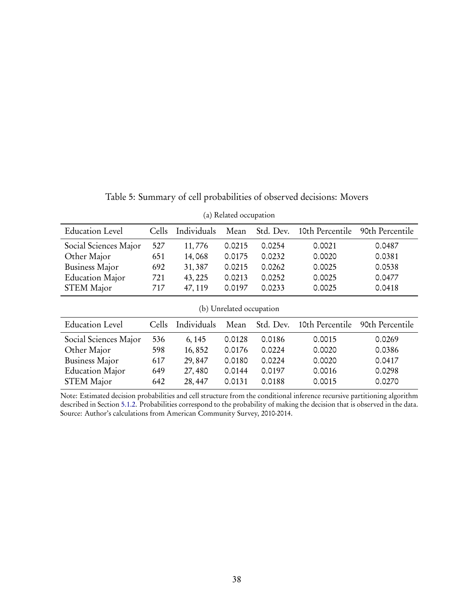<span id="page-37-0"></span>

| <b>Education Level</b>   | Cells | Individuals | Mean   | Std. Dev. | 10th Percentile | 90th Percentile |  |  |
|--------------------------|-------|-------------|--------|-----------|-----------------|-----------------|--|--|
| Social Sciences Major    | 527   | 11,776      | 0.0215 | 0.0254    | 0.0021          | 0.0487          |  |  |
| Other Major              | 651   | 14,068      | 0.0175 | 0.0232    | 0.0020          | 0.0381          |  |  |
| <b>Business Major</b>    | 692   | 31,387      | 0.0215 | 0.0262    | 0.0025          | 0.0538          |  |  |
| <b>Education Major</b>   | 721   | 43, 225     | 0.0213 | 0.0252    | 0.0025          | 0.0477          |  |  |
| <b>STEM Major</b>        | 717   | 47, 119     | 0.0197 | 0.0233    | 0.0025          | 0.0418          |  |  |
| (b) Unrelated occupation |       |             |        |           |                 |                 |  |  |
|                          |       |             |        |           |                 |                 |  |  |
| <b>Education Level</b>   | Cells | Individuals | Mean   | Std. Dev. | 10th Percentile | 90th Percentile |  |  |
| Social Sciences Major    | 536   | 6, 145      | 0.0128 | 0.0186    | 0.0015          | 0.0269          |  |  |
| Other Major              | 598   | 16,852      | 0.0176 | 0.0224    | 0.0020          | 0.0386          |  |  |
| <b>Business Major</b>    | 617   | 29,847      | 0.0180 | 0.0224    | 0.0020          | 0.0417          |  |  |
| <b>Education Major</b>   | 649   | 27,480      | 0.0144 | 0.0197    | 0.0016          | 0.0298          |  |  |

Table 5: Summary of cell probabilities of observed decisions: Movers

(a) Related occupation

Note: Estimated decision probabilities and cell structure from the conditional inference recursive partitioning algorithm described in Section [5.1.2.](#page-15-2) Probabilities correspond to the probability of making the decision that is observed in the data. Source: Author's calculations from American Community Survey, 2010-2014.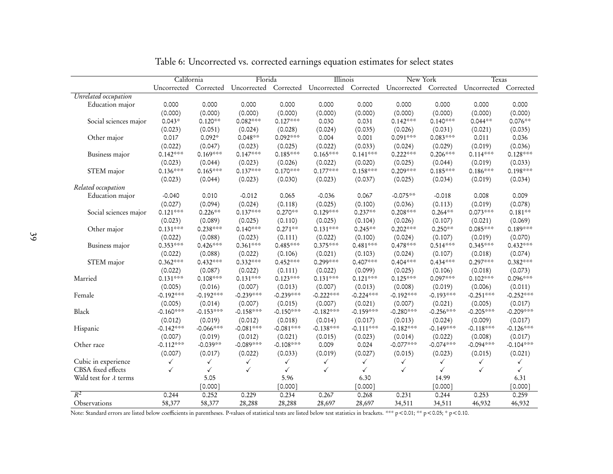|                               | California   |              | Florida                                                                                         |              | Illinois    |              | New York    |              | <b>Texas</b> |              |
|-------------------------------|--------------|--------------|-------------------------------------------------------------------------------------------------|--------------|-------------|--------------|-------------|--------------|--------------|--------------|
|                               | Uncorrected  |              | Corrected Uncorrected Corrected Uncorrected Corrected Uncorrected Corrected Corrected Corrected |              |             |              |             |              |              |              |
| Unrelated occupation          |              |              |                                                                                                 |              |             |              |             |              |              |              |
| Education major               | 0.000        | 0.000        | 0.000                                                                                           | 0.000        | 0.000       | 0.000        | 0.000       | 0.000        | 0.000        | 0.000        |
|                               | (0.000)      | (0.000)      | (0.000)                                                                                         | (0.000)      | (0.000)     | (0.000)      | (0.000)     | (0.000)      | (0.000)      | (0.000)      |
| Social sciences major         | $0.043*$     | $0.120**$    | 0.082***                                                                                        | $0.127***$   | 0.030       | 0.031        | $0.142***$  | $0.140***$   | $0.044**$    | $0.076**$    |
|                               | (0.023)      | (0.051)      | (0.024)                                                                                         | (0.028)      | (0.024)     | (0.035)      | (0.026)     | (0.031)      | (0.021)      | (0.035)      |
| Other major                   | 0.017        | $0.092*$     | $0.048**$                                                                                       | 0.092***     | 0.004       | 0.001        | $0.091***$  | $0.083***$   | 0.011        | 0.036        |
|                               | (0.022)      | (0.047)      | (0.023)                                                                                         | (0.025)      | (0.022)     | (0.033)      | (0.024)     | (0.029)      | (0.019)      | (0.036)      |
| Business major                | $0.142***$   | $0.169***$   | $0.147***$                                                                                      | $0.185***$   | $0.165***$  | $0.141***$   | $0.222***$  | $0.206***$   | $0.114***$   | $0.128***$   |
|                               | (0.023)      | (0.044)      | (0.023)                                                                                         | (0.026)      | (0.022)     | (0.020)      | (0.025)     | (0.044)      | (0.019)      | (0.033)      |
| STEM major                    | $0.136***$   | $0.165***$   | $0.137***$                                                                                      | $0.170***$   | $0.177***$  | $0.158***$   | 0.209***    | $0.185***$   | $0.186***$   | $0.198***$   |
|                               | (0.023)      | (0.044)      | (0.023)                                                                                         | (0.030)      | (0.023)     | (0.037)      | (0.025)     | (0.034)      | (0.019)      | (0.034)      |
| Related occupation            |              |              |                                                                                                 |              |             |              |             |              |              |              |
| Education major               | $-0.040$     | 0.010        | $-0.012$                                                                                        | 0.065        | $-0.036$    | 0.067        | $-0.075**$  | $-0.018$     | 0.008        | 0.009        |
|                               | (0.027)      | (0.094)      | (0.024)                                                                                         | (0.118)      | (0.025)     | (0.100)      | (0.036)     | (0.113)      | (0.019)      | (0.078)      |
| Social sciences major         | $0.121***$   | $0.226**$    | $0.137***$                                                                                      | $0.270**$    | $0.129***$  | $0.237**$    | $0.208***$  | $0.264***$   | $0.073***$   | $0.181**$    |
|                               | (0.023)      | (0.089)      | (0.025)                                                                                         | (0.110)      | (0.025)     | (0.104)      | (0.026)     | (0.107)      | (0.021)      | (0.069)      |
| Other major                   | $0.131***$   | $0.238***$   | $0.140***$                                                                                      | $0.271**$    | $0.131***$  | $0.245***$   | $0.202***$  | $0.250**$    | 0.085***     | 0.189***     |
|                               | (0.022)      | (0.088)      | (0.023)                                                                                         | (0.111)      | (0.022)     | (0.100)      | (0.024)     | (0.107)      | (0.019)      | (0.070)      |
| Business major                | $0.353***$   | $0.426***$   | $0.361***$                                                                                      | $0.485***$   | $0.375***$  | $0.481***$   | $0.478***$  | $0.514***$   | $0.345***$   | $0.432***$   |
|                               | (0.022)      | (0.088)      | (0.022)                                                                                         | (0.106)      | (0.021)     | (0.103)      | (0.024)     | (0.107)      | (0.018)      | (0.074)      |
| STEM major                    | $0.362***$   | $0.432***$   | $0.332***$                                                                                      | $0.452***$   | 0.299***    | 0.407***     | $0.404***$  | $0.434***$   | 0.297***     | 0.382***     |
|                               | (0.022)      | (0.087)      | (0.022)                                                                                         | (0.111)      | (0.022)     | (0.099)      | (0.025)     | (0.106)      | (0.018)      | (0.073)      |
| Married                       | $0.131***$   | $0.108***$   | $0.131***$                                                                                      | $0.123***$   | $0.131***$  | $0.121***$   | $0.125***$  | 0.097***     | $0.102***$   | $0.096***$   |
|                               | (0.005)      | (0.016)      | (0.007)                                                                                         | (0.013)      | (0.007)     | (0.013)      | (0.008)     | (0.019)      | (0.006)      | (0.011)      |
| Female                        | $-0.192***$  | $-0.192***$  | $-0.239***$                                                                                     | $-0.239***$  | $-0.222***$ | $-0.224***$  | $-0.192***$ | $-0.193***$  | $-0.251***$  | $-0.252***$  |
|                               | (0.005)      | (0.014)      | (0.007)                                                                                         | (0.015)      | (0.007)     | (0.021)      | (0.007)     | (0.021)      | (0.005)      | (0.017)      |
| Black                         | $-0.160***$  | $-0.153***$  | $-0.158***$                                                                                     | $-0.150***$  | $-0.182***$ | $-0.159***$  | $-0.280***$ | $-0.256***$  | $-0.205***$  | $-0.209***$  |
|                               | (0.012)      | (0.019)      | (0.012)                                                                                         | (0.018)      | (0.014)     | (0.017)      | (0.013)     | (0.024)      | (0.009)      | (0.017)      |
| Hispanic                      | $-0.142***$  | $-0.066***$  | $-0.081***$                                                                                     | $-0.081***$  | $-0.138***$ | $-0.111***$  | $-0.182***$ | $-0.149***$  | $-0.118***$  | $-0.126***$  |
|                               | (0.007)      | (0.019)      | (0.012)                                                                                         | (0.021)      | (0.015)     | (0.023)      | (0.014)     | (0.022)      | (0.008)      | (0.017)      |
| Other race                    | $-0.112***$  | $-0.039**$   | $-0.089***$                                                                                     | $-0.108***$  | 0.009       | 0.024        | $-0.077**$  | $-0.074***$  | $-0.094***$  | $-0.104***$  |
|                               | (0.007)      | (0.017)      | (0.022)                                                                                         | (0.033)      | (0.019)     | (0.027)      | (0.015)     | (0.023)      | (0.015)      | (0.021)      |
| Cubic in experience           | $\checkmark$ | ✓            | $\checkmark$                                                                                    | ✓            | ✓           | $\checkmark$ | ✓           | ✓            | $\checkmark$ | ✓            |
| CBSA fixed effects            | $\checkmark$ | $\checkmark$ | $\checkmark$                                                                                    | $\checkmark$ | ✓           | ✓            | ✓           | $\checkmark$ | ✓            | $\checkmark$ |
| Wald test for $\lambda$ terms |              | 5.05         |                                                                                                 | 5.96         |             | 6.30         |             | 14.99        |              | 6.31         |
|                               |              | [0.000]      |                                                                                                 | [0.000]      |             | [0.000]      |             | [0.000]      |              | [0.000]      |
| $R^2$                         | 0.244        | 0.252        | 0.229                                                                                           | 0.234        | 0.267       | 0.268        | 0.231       | 0.244        | 0.253        | 0.259        |
| Observations                  | 58,377       | 58,377       | 28,288                                                                                          | 28,288       | 28,697      | 28,697       | 34,511      | 34,511       | 46,932       | 46,932       |

<span id="page-38-0"></span>Table 6: Uncorrected vs. corrected earnings equation estimates for select states

Note: Standard errors are listed below coefficients in parentheses. P-values of statistical tests are listed below test statistics in brackets. \*\*\* p<0.01; \*\* p<0.05; \* p<0.10.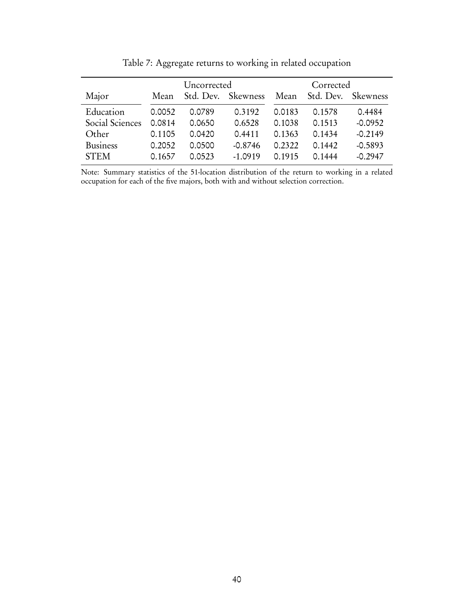<span id="page-39-0"></span>

|                 |        | Uncorrected |           | Corrected |           |                 |  |
|-----------------|--------|-------------|-----------|-----------|-----------|-----------------|--|
| Major           | Mean   | Std. Dev.   | Skewness  | Mean      | Std. Dev. | <b>Skewness</b> |  |
| Education       | 0.0052 | 0.0789      | 0.3192    | 0.0183    | 0.1578    | 0.4484          |  |
| Social Sciences | 0.0814 | 0.0650      | 0.6528    | 0.1038    | 0.1513    | $-0.0952$       |  |
| Other           | 0.1105 | 0.0420      | 0.4411    | 0.1363    | 0.1434    | $-0.2149$       |  |
| <b>Business</b> | 0.2052 | 0.0500      | $-0.8746$ | 0.2322    | 0.1442    | $-0.5893$       |  |
| <b>STEM</b>     | 0.1657 |             | $-1.0919$ | ∩ 1915    | 0.1444    | $-0.2947$       |  |

Table 7: Aggregate returns to working in related occupation

Note: Summary statistics of the 51-location distribution of the return to working in a related occupation for each of the five majors, both with and without selection correction.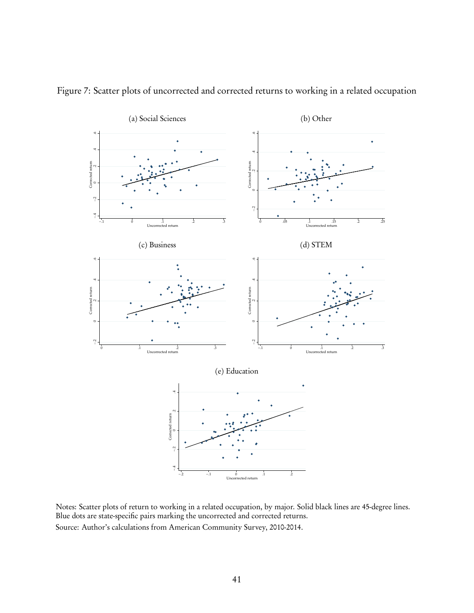

<span id="page-40-0"></span>Figure 7: Scatter plots of uncorrected and corrected returns to working in a related occupation

Notes: Scatter plots of return to working in a related occupation, by major. Solid black lines are 45-degree lines. Blue dots are state-specific pairs marking the uncorrected and corrected returns. Source: Author's calculations from American Community Survey, 2010-2014.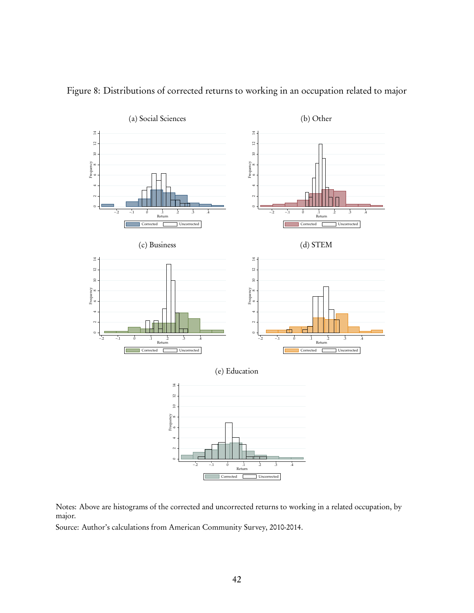

<span id="page-41-0"></span>Figure 8: Distributions of corrected returns to working in an occupation related to major

Notes: Above are histograms of the corrected and uncorrected returns to working in a related occupation, by major.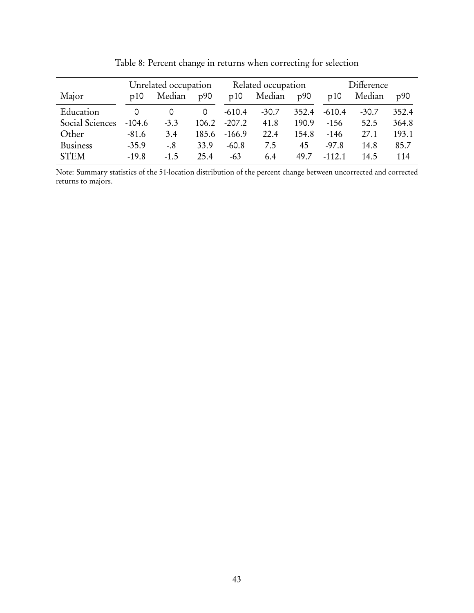<span id="page-42-0"></span>

|                 | Unrelated occupation |        |       |          | Related occupation |       | Difference |         |       |  |
|-----------------|----------------------|--------|-------|----------|--------------------|-------|------------|---------|-------|--|
| Major           | p10                  | Median | p90   | p10      | Median             | p90   | p10        | Median  | p90   |  |
| Education       | 0                    |        | 0     | $-610.4$ | $-30.7$            | 352.4 | $-610.4$   | $-30.7$ | 352.4 |  |
| Social Sciences | $-104.6$             | $-3.3$ | 106.2 | $-207.2$ | 41.8               | 190.9 | $-156$     | 52.5    | 364.8 |  |
| Other           | $-81.6$              | 3.4    | 185.6 | $-166.9$ | 22.4               | 154.8 | $-146$     | 27.1    | 193.1 |  |
| <b>Business</b> | $-35.9$              | $-.8$  | 33.9  | $-60.8$  | 7.5                | 45    | $-97.8$    | 14.8    | 85.7  |  |
| <b>STEM</b>     | $-19.8$              | $-1.5$ | 25.4  | $-63$    | 6.4                | 49.7  | $-112.1$   | 14.5    | 114   |  |

Table 8: Percent change in returns when correcting for selection

Note: Summary statistics of the 51-location distribution of the percent change between uncorrected and corrected returns to majors.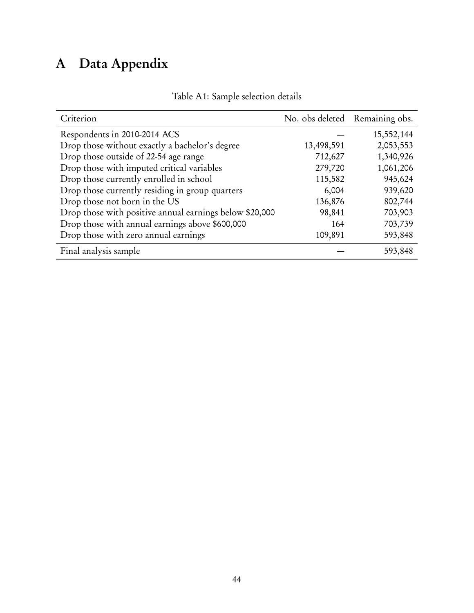# <span id="page-43-0"></span>A Data Appendix

| Criterion                                               | No. obs deleted Remaining obs. |            |
|---------------------------------------------------------|--------------------------------|------------|
| Respondents in 2010-2014 ACS                            |                                | 15,552,144 |
| Drop those without exactly a bachelor's degree          | 13,498,591                     | 2,053,553  |
| Drop those outside of 22-54 age range                   | 712,627                        | 1,340,926  |
| Drop those with imputed critical variables              | 279,720                        | 1,061,206  |
| Drop those currently enrolled in school                 | 115,582                        | 945,624    |
| Drop those currently residing in group quarters         | 6,004                          | 939,620    |
| Drop those not born in the US                           | 136,876                        | 802,744    |
| Drop those with positive annual earnings below \$20,000 | 98,841                         | 703,903    |
| Drop those with annual earnings above \$600,000         | 164                            | 703,739    |
| Drop those with zero annual earnings                    | 109,891                        | 593,848    |
| Final analysis sample                                   |                                | 593,848    |

## Table A1: Sample selection details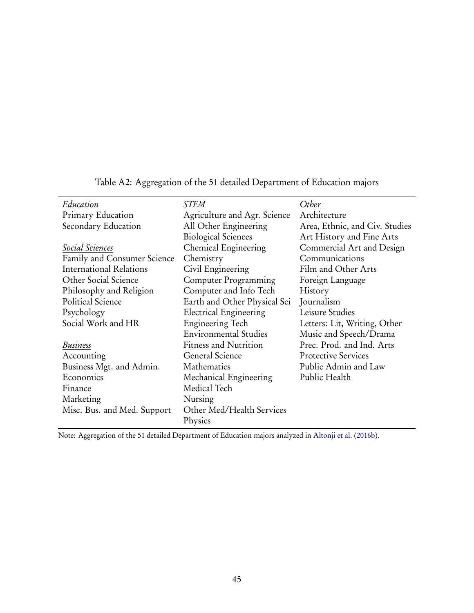<span id="page-44-0"></span>

| Education                      | <i>STEM</i>                   | Other                          |
|--------------------------------|-------------------------------|--------------------------------|
| Primary Education              | Agriculture and Agr. Science  | Architecture                   |
| Secondary Education            | All Other Engineering         | Area, Ethnic, and Civ. Studies |
|                                | <b>Biological Sciences</b>    | Art History and Fine Arts      |
| Social Sciences                | Chemical Engineering          | Commercial Art and Design      |
| Family and Consumer Science    | Chemistry                     | Communications                 |
| <b>International Relations</b> | Civil Engineering             | Film and Other Arts            |
| Other Social Science           | Computer Programming          | Foreign Language               |
| Philosophy and Religion        | Computer and Info Tech        | History                        |
| Political Science              | Earth and Other Physical Sci  | Journalism                     |
| Psychology                     | <b>Electrical Engineering</b> | Leisure Studies                |
| Social Work and HR             | <b>Engineering Tech</b>       | Letters: Lit, Writing, Other   |
|                                | <b>Environmental Studies</b>  | Music and Speech/Drama         |
| <b>Business</b>                | <b>Fitness and Nutrition</b>  | Prec. Prod. and Ind. Arts      |
| Accounting                     | <b>General Science</b>        | <b>Protective Services</b>     |
| Business Mgt. and Admin.       | Mathematics                   | Public Admin and Law           |
| Economics                      | Mechanical Engineering        | Public Health                  |
| Finance                        | Medical Tech                  |                                |
| Marketing                      | Nursing                       |                                |
| Misc. Bus. and Med. Support    | Other Med/Health Services     |                                |
|                                | Physics                       |                                |

Table A2: Aggregation of the 51 detailed Department of Education majors

Note: Aggregation of the 51 detailed Department of Education majors analyzed in [Altonji et al.](#page-24-3) [\(2016b\)](#page-24-3).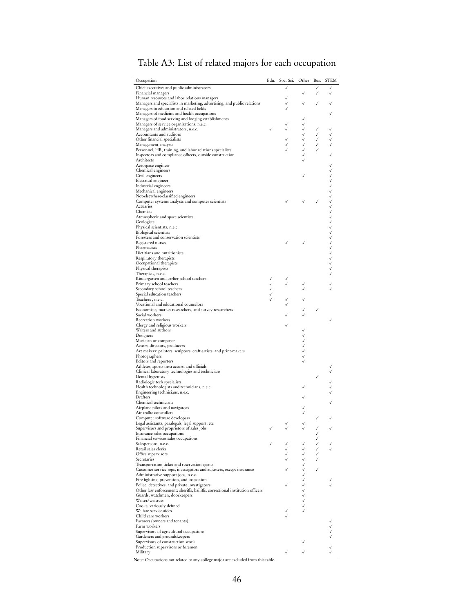| Occupation                                                                                                  | Edu. | Soc. Sci. | Other   | Bus. | <b>STEM</b>           |
|-------------------------------------------------------------------------------------------------------------|------|-----------|---------|------|-----------------------|
| Chief executives and public administrators                                                                  |      | ✓         |         |      |                       |
| Financial managers<br>Human resources and labor relations managers                                          |      |           |         |      | ✓                     |
| Managers and specialists in marketing, advertising, and public relations                                    |      |           |         |      |                       |
| Managers in education and related fields                                                                    |      |           |         |      |                       |
| Managers of medicine and health occupations                                                                 |      |           |         |      |                       |
| Managers of food-serving and lodging establishments<br>Managers of service organizations, n.e.c.            |      |           |         |      |                       |
| Managers and administrators, n.e.c.                                                                         |      |           |         |      |                       |
| Accountants and auditors                                                                                    |      |           |         |      |                       |
| Other financial specialists                                                                                 |      |           |         |      |                       |
| Management analysts<br>Personnel, HR, training, and labor relations specialists                             |      |           |         |      |                       |
| Inspectors and compliance officers, outside construction                                                    |      |           |         |      |                       |
| Architects                                                                                                  |      |           |         |      |                       |
| Aerospace engineer                                                                                          |      |           |         |      |                       |
| Chemical engineers                                                                                          |      |           |         |      |                       |
| Civil engineers<br>Electrical engineer                                                                      |      |           |         |      |                       |
| Industrial engineers                                                                                        |      |           |         |      |                       |
| Mechanical engineers                                                                                        |      |           |         |      |                       |
| Not-elsewhere-classified engineers                                                                          |      |           |         |      |                       |
| Computer systems analysts and computer scientists                                                           |      |           |         |      |                       |
| Actuaries<br>Chemists                                                                                       |      |           |         |      |                       |
| Atmospheric and space scientists                                                                            |      |           |         |      |                       |
| Geologists                                                                                                  |      |           |         |      |                       |
| Physical scientists, n.e.c.                                                                                 |      |           |         |      |                       |
| <b>Biological scientists</b>                                                                                |      |           |         |      | へんへんへん たいへん たいこう へんこう |
| Foresters and conservation scientists<br>Registered nurses                                                  |      |           |         |      |                       |
| Pharmacists                                                                                                 |      |           |         |      |                       |
| Dietitians and nutritionists                                                                                |      |           |         |      |                       |
| Respiratory therapists                                                                                      |      |           |         |      |                       |
| Occupational therapists                                                                                     |      |           |         |      |                       |
| Physical therapists<br>Therapists, n.e.c.                                                                   |      |           |         |      |                       |
| Kindergarten and earlier school teachers                                                                    |      |           |         |      |                       |
| Primary school teachers                                                                                     |      |           |         |      |                       |
| Secondary school teachers                                                                                   |      |           |         |      |                       |
| Special education teachers                                                                                  |      |           |         |      |                       |
| Teachers , n.e.c.                                                                                           |      |           |         |      |                       |
| Vocational and educational counselors<br>Economists, market researchers, and survey researchers             |      |           |         |      |                       |
| Social workers                                                                                              |      |           |         |      |                       |
| Recreation workers                                                                                          |      |           |         |      |                       |
| Clergy and religious workers                                                                                |      |           |         |      |                       |
| Writers and authors                                                                                         |      |           |         |      |                       |
| Designers                                                                                                   |      |           |         |      |                       |
| Musician or composer<br>Actors, directors, producers                                                        |      |           |         |      |                       |
| Art makers: painters, sculptors, craft-artists, and print-makers                                            |      |           |         |      |                       |
| Photographers                                                                                               |      |           |         |      |                       |
| Editors and reporters                                                                                       |      |           |         |      |                       |
| Athletes, sports instructors, and officials                                                                 |      |           |         |      |                       |
| Clinical laboratory technologies and technicians<br>Dental hygenists                                        |      |           |         |      |                       |
| Radiologic tech specialists                                                                                 |      |           |         |      |                       |
| Health technologists and technicians, n.e.c.                                                                |      |           |         |      |                       |
| Engineering technicians, n.e.c.                                                                             |      |           |         |      |                       |
| Drafters                                                                                                    |      |           |         |      |                       |
| Chemical technicians                                                                                        |      |           |         |      |                       |
| Airplane pilots and navigators<br>Air traffic controllers                                                   |      |           |         |      |                       |
| Computer software developers                                                                                |      |           |         |      |                       |
| Legal assistants, paralegals, legal support, etc                                                            |      |           |         |      |                       |
| Supervisors and proprietors of sales jobs                                                                   |      |           |         |      |                       |
| Insurance sales occupations<br>Financial services sales occupations                                         |      |           |         |      |                       |
| Salespersons, n.e.c.                                                                                        |      |           |         |      |                       |
| Retail sales clerks                                                                                         |      |           |         |      |                       |
| Office supervisors                                                                                          |      |           |         |      |                       |
| Secretaries                                                                                                 |      |           | くくくくくくく |      |                       |
| Transportation ticket and reservation agents                                                                |      |           |         |      |                       |
| Customer service reps, investigators and adjusters, except insurance<br>Administrative support jobs, n.e.c. |      |           |         |      |                       |
| Fire fighting, prevention, and inspection                                                                   |      |           |         |      |                       |
| Police, detectives, and private investigators                                                               |      |           |         |      |                       |
| Other law enforcement: sheriffs, bailiffs, correctional institution officers                                |      |           |         |      |                       |
| Guards, watchmen, doorkeepers                                                                               |      |           |         |      |                       |
| Waiter/waitress<br>Cooks, variously defined                                                                 |      |           |         |      |                       |
| Welfare service aides                                                                                       |      |           |         |      |                       |
| Child care workers                                                                                          |      |           |         |      |                       |
| Farmers (owners and tenants)                                                                                |      |           |         |      |                       |
| Farm workers                                                                                                |      |           |         |      |                       |
| Supervisors of agricultural occupations                                                                     |      |           |         |      |                       |
| Gardeners and groundskeepers<br>Supervisors of construction work                                            |      |           |         |      |                       |
| Production supervisors or foremen                                                                           |      |           |         |      |                       |
| Military                                                                                                    |      |           |         |      |                       |

## <span id="page-45-0"></span>Table A3: List of related majors for each occupation

Note: Occupations not related to any college major are excluded from this table.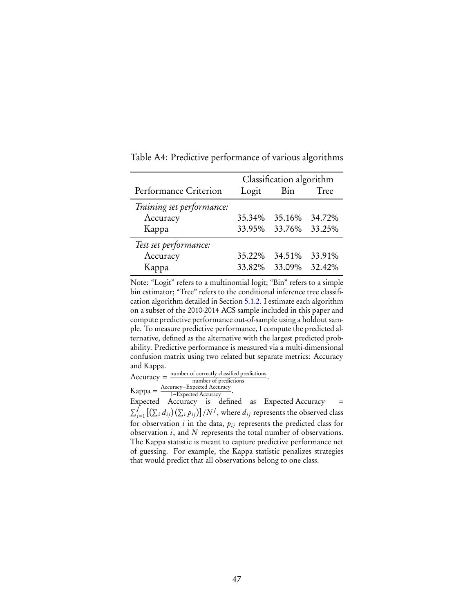|                           | Classification algorithm |                      |        |  |  |  |
|---------------------------|--------------------------|----------------------|--------|--|--|--|
| Performance Criterion     | Logit                    | Bin                  | Tree   |  |  |  |
| Training set performance: |                          |                      |        |  |  |  |
| Accuracy                  | 35.34%                   | 35.16%               | 34.72% |  |  |  |
| Kappa                     |                          | 33.95% 33.76% 33.25% |        |  |  |  |
| Test set performance:     |                          |                      |        |  |  |  |
| Accuracy                  | 35.22%                   | 34.51%               | 33.91% |  |  |  |
| Kappa                     | 33.82%                   | 33.09%               | 32.42% |  |  |  |

<span id="page-46-0"></span>Table A4: Predictive performance of various algorithms

Note: "Logit" refers to a multinomial logit; "Bin" refers to a simple bin estimator; "Tree" refers to the conditional inference tree classification algorithm detailed in Section [5.1.2.](#page-15-2) I estimate each algorithm on a subset of the 2010-2014 ACS sample included in this paper and compute predictive performance out-of-sample using a holdout sample. To measure predictive performance, I compute the predicted alternative, defined as the alternative with the largest predicted probability. Predictive performance is measured via a multi-dimensional confusion matrix using two related but separate metrics: Accuracy and Kappa.

 $Accuracy = \frac{number\ of\ correctly\ classified\ predictions}{number\ of\ predictions}.$ Kappa =  $\frac{\text{Accuracy}-\text{Expected Accuracy}}{1-\text{Expected Accuracy}}$ .

 $\text{Kappa} = \frac{1-\text{Expected Accuracy}}{1-\text{Expected Accuracy}}$ .<br>Expected Accuracy is defined as Expected Accuracy =  $\sum_{j=1}^J \left[(\sum_i d_{ij}) (\sum_i p_{ij})\right] /N^J,$  where  $d_{ij}$  represents the observed class for observation  $i$  in the data,  $p_{ij}$  represents the predicted class for observation  $i$ , and  $N$  represents the total number of observations. The Kappa statistic is meant to capture predictive performance net of guessing. For example, the Kappa statistic penalizes strategies that would predict that all observations belong to one class.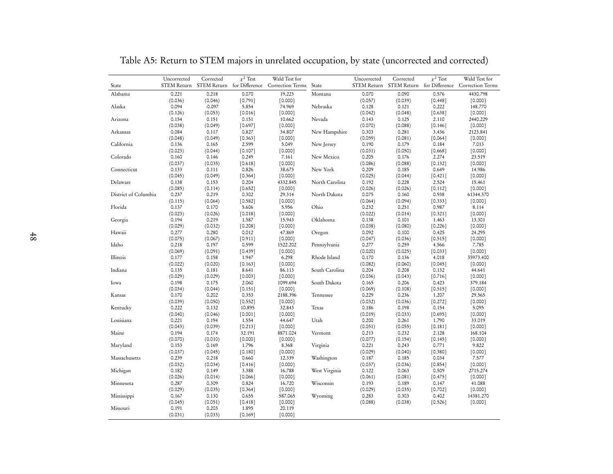| State                | Uncorrected<br><b>STEM Return</b> | Corrected        | $\chi^2$ Test<br>STEM Return for Difference | Wald Test for<br>Correction Terms | State          | Uncorrected<br>STEM Return | Corrected        | $\chi^2$ Test<br>STEM Return for Difference | Wald Test for<br>Correction Terms |
|----------------------|-----------------------------------|------------------|---------------------------------------------|-----------------------------------|----------------|----------------------------|------------------|---------------------------------------------|-----------------------------------|
| Alabama              | 0.221                             | 0.218            | 0.070                                       | 19.223                            | Montana        | 0.070                      | 0.090            | 0.576                                       | 4430.798                          |
|                      | (0.036)                           | (0.046)          | [0.791]                                     | [0.000]                           |                | (0.057)                    | (0.039)          | $[0.448]$                                   | [0.000]                           |
| Alaska               | 0.094                             | $-0.097$         | 5.854                                       | 74.969                            | Nebraska       | 0.128                      | 0.121            | 0.222                                       | 148.770                           |
|                      | (0.126)                           | (0.053)          | [0.016]                                     | [0.000]                           |                | (0.042)                    | (0.048)          | $[0.638]$                                   | [0.000]                           |
| Arizona              | 0.154                             | 0.151            | 0.151                                       | 10.662                            | Nevada         | 0.143                      | 0.125            | 2.110                                       | 2440.229                          |
|                      | (0.038)                           | (0.049)          | $[0.697]$                                   | [0.000]                           |                | (0.070)                    | (0.088)          | [0.146]                                     | [0.000]                           |
| Arkansas             | 0.084                             | 0.117            | 0.827                                       | 34.807                            | New Hampshire  | 0.303                      | 0.281            | 3.436                                       | 2123.841                          |
|                      | (0.048)                           | (0.049)          | [0.363]                                     | [0.000]                           |                | (0.059)                    | (0.081)          | $[0.064]$                                   | [0.000]                           |
| California           | 0.136                             | 0.165            | 2.599                                       | 5.049                             | New Jersey     | 0.190                      | 0.179            | 0.184                                       | 7.013                             |
|                      | (0.023)                           | (0.044)          | [0.107]                                     | [0.000]                           |                | (0.031)                    | (0.050)          | [0.668]                                     | [0.000]                           |
| Colorado             | 0.160                             | 0.146            | 0.249                                       | 7.161                             | New Mexico     | 0.205                      | 0.176            | 2.274                                       | 23.519                            |
|                      | (0.037)                           | (0.035)          | [0.618]                                     | [0.000]                           |                | (0.086)                    | (0.088)          | [0.132]                                     | [0.000]                           |
| Connecticut          | 0.133                             | 0.111            | 0.826                                       | 38.673                            | New York       | 0.209                      | 0.185            | 0.649                                       | 14.986                            |
|                      | (0.045)                           | (0.049)          | [0.364]                                     | [0.000]                           |                | (0.025)                    | (0.044)          | [0.421]                                     | [0.000]                           |
| Delaware             | 0.138                             | 0.153            | 0.204                                       | 4332.845                          | North Carolina | 0.192                      | 0.228            | 2.524                                       | 15.461                            |
|                      | (0.085)                           | (0.114)          | [0.652]                                     | [0.000]                           |                | (0.026)                    | (0.026)          | [0.112]                                     | [0.000]                           |
| District of Columbia | 0.237                             | 0.219            | 0.302                                       | 29.314                            | North Dakota   | 0.075                      | 0.160            | 0.938                                       | 61344.370                         |
|                      | (0.115)                           | (0.064)          | [0.582]                                     | [0.000]                           |                | (0.064)                    | (0.094)          | [0.333]                                     | [0.000]                           |
| Florida              | 0.137                             | 0.170            | 5.606                                       | 5.956                             | Ohio           | 0.232                      | 0.251            | 0.987                                       | 8.114                             |
|                      | (0.023)                           | (0.026)          | [0.018]                                     | [0.000]                           |                | (0.022)                    | (0.014)          | [0.321]                                     | [0.000]                           |
| Georgia              | 0.194                             | 0.219            | 1.587                                       | 15.943                            | Oklahoma       | 0.138                      | 0.101            | 1.463                                       | 13.301                            |
|                      | (0.029)                           | (0.032)          | [0.208]                                     | [0.000]                           |                | (0.038)<br>0.092           | (0.080)          | [0.226]                                     | [0.000]                           |
| Hawaii               | 0.277                             | 0.280            | 0.012                                       | 47.869                            | Oregon         |                            | 0.100            | 0.425                                       | 24.295                            |
| Idaho                | (0.075)                           | (0.067)<br>0.197 | [0.911]<br>0.599                            | [0.000]<br>1522.202               | Pennsylvania   | (0.047)<br>0.277           | (0.036)<br>0.259 | [0.515]                                     | [0.000]<br>7.785                  |
|                      | 0.218                             |                  |                                             |                                   |                |                            |                  | 4.566                                       |                                   |
| Illinois             | (0.069)<br>0.177                  | (0.091)<br>0.158 | $[0.439]$<br>1.947                          | [0.000]<br>6.298                  | Rhode Island   | (0.020)<br>0.170           | (0.025)<br>0.136 | [0.033]<br>4.018                            | [0.000]<br>35973.400              |
|                      | (0.022)                           | (0.020)          | [0.163]                                     | [0.000]                           |                | (0.082)                    | (0.060)          | $[0.045]$                                   | [0.000]                           |
| Indiana              | 0.135                             | 0.181            | 8.641                                       | 86.113                            | South Carolina | 0.204                      | 0.208            | 0.132                                       | 44.641                            |
|                      | (0.029)                           | (0.029)          | [0.003]                                     | [0.000]                           |                | (0.036)                    | (0.043)          | $[0.716]$                                   | [0.000]                           |
| Iowa                 | 0.198                             | 0.175            | 2.060                                       | 1099.694                          | South Dakota   | 0.165                      | 0.206            | 0.423                                       | 379.184                           |
|                      | (0.034)                           | (0.044)          | $[0.151]$                                   | [0.000]                           |                | (0.069)                    | (0.108)          | [0.515]                                     | [0.000]                           |
| Kansas               | 0.170                             | 0.202            | 0.353                                       | 2188.396                          | Tennessee      | 0.229                      | 0.236            | 1.207                                       | 29.565                            |
|                      | (0.039)                           | (0.050)          | $[0.552]$                                   | [0.000]                           |                | (0.032)                    | (0.036)          | $[0.272]$                                   | [0.000]                           |
| Kentucky             | 0.222                             | 0.132            | 10.895                                      | 32.843                            | Texas          | 0.186                      | 0.198            | 0.154                                       | 5.095                             |
|                      | (0.040)                           | (0.046)          | [0.001]                                     | [0.000]                           |                | (0.019)                    | (0.033)          | [0.695]                                     | [0.000]                           |
| Louisiana            | 0.221                             | 0.194            | 1.554                                       | 44.647                            | Utah           | 0.200                      | 0.261            | 1.790                                       | 33.019                            |
|                      | (0.043)                           | (0.039)          | [0.213]                                     | [0.000]                           |                | (0.051)                    | (0.055)          | [0.181]                                     | [0.000]                           |
| Maine                | 0.194                             | 0.174            | 32.191                                      | 8871.024                          | Vermont        | 0.213                      | 0.232            | 2.128                                       | 168.104                           |
|                      | (0.070)                           | (0.010)          | [0.000]                                     | [0.000]                           |                | (0.077)                    | (0.154)          | [0.145]                                     | [0.000]                           |
| Maryland             | 0.153                             | 0.169            | 1.796                                       | 8.368                             | Virginia       | 0.221                      | 0.243            | 0.771                                       | 9.822                             |
|                      | (0.037)                           | (0.045)          | [0.180]                                     | [0.000]                           |                | (0.029)                    | (0.040)          | [0.380]                                     | [0.000]                           |
| Massachusetts        | 0.239                             | 0.218            | 0.660                                       | 12.339                            | Washington     | 0.187                      | 0.185            | 0.034                                       | 7.577                             |
|                      | (0.032)                           | (0.034)          | [0.416]                                     | [0.000]                           |                | (0.037)                    | (0.036)          | [0.854]                                     | [0.000]                           |
| Michigan             | 0.182                             | 0.149            | 3.388                                       | 16.788                            | West Virginia  | 0.122                      | 0.063            | 0.509                                       | 2715.274                          |
|                      | (0.026)                           | (0.014)          | [0.066]                                     | [0.000]                           |                | (0.061)                    | (0.081)          | [0.475]                                     | [0.000]                           |
| Minnesota            | 0.287                             | 0.309            | 0.824                                       | 16.720                            | Wisconsin      | 0.193                      | 0.189            | 0.147                                       | 41.088                            |
|                      | (0.029)                           | (0.035)          | [0.364]                                     | [0.000]                           |                | (0.029)                    | (0.035)          | [0.702]                                     | [0.000]                           |
| Mississippi          | 0.167                             | 0.130            | 0.655                                       | 587.065                           | Wyoming        | 0.283                      | 0.303            | 0.402                                       | 14381.270                         |
|                      | (0.045)                           | (0.051)          | [0.418]                                     | [0.000]                           |                | (0.088)                    | (0.038)          | [0.526]                                     | [0.000]                           |
| Missouri             | 0.191                             | 0.203            | 1.895                                       | 20.119                            |                |                            |                  |                                             |                                   |
|                      | (0.031)                           | (0.033)          | [0.169]                                     | [0.000]                           |                |                            |                  |                                             |                                   |

<span id="page-47-0"></span>Table A5: Return to STEM majors in unrelated occupation, by state (uncorrected and corrected)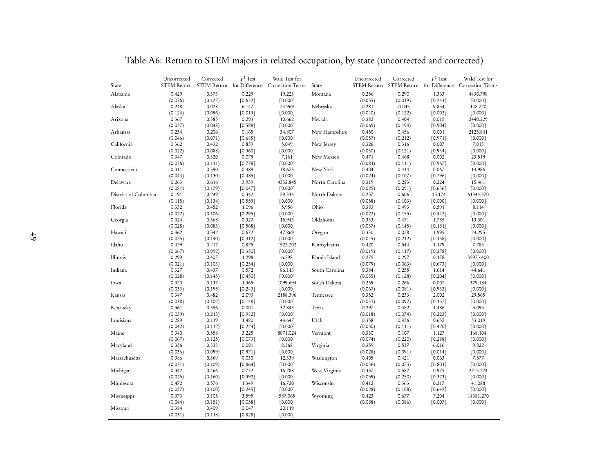| State                | Uncorrected<br>STEM Return | Corrected        | $\chi^2$ Test<br>STEM Return for Difference | Wald Test for<br>Correction Terms | State          | Uncorrected<br><b>STEM Return</b> | Corrected        | $\chi^2$ Test      | Wald Test for<br>STEM Return for Difference Correction Terms |
|----------------------|----------------------------|------------------|---------------------------------------------|-----------------------------------|----------------|-----------------------------------|------------------|--------------------|--------------------------------------------------------------|
| Alabama              | 0.429                      | 0.373            | 0.229                                       | 19.223                            | Montana        | 0.256                             | 0.290            | 1.363              | 4430.798                                                     |
|                      | (0.036)                    | (0.127)          | [0.632]                                     | [0.000]                           |                | (0.055)                           | (0.039)          | [0.243]            | [0.000]                                                      |
| Alaska               | 0.248                      | 0.028            | 6.147                                       | 74.969                            | Nebraska       | 0.281                             | $-0.045$         | 9.854              | 148.770                                                      |
|                      | (0.124)                    | (0.096)          | [0.013]                                     | [0.000]                           |                | (0.040)                           | (0.122)          | [0.002]            | [0.000]                                                      |
| Arizona              | 0.367                      | 0.385            | 0.293                                       | 10.662                            | Nevada         | 0.382                             | 0.404            | 0.015              | 2440.229                                                     |
|                      | (0.037)                    | (0.048)          | $[0.588]$                                   | [0.000]                           |                | (0.069)                           | (0.194)          | $[0.904]$          | $[0.000]$                                                    |
| Arkansas             | 0.234                      | 0.206            | 0.165                                       | 34.807                            | New Hampshire  | 0.450                             | 0.456            | 0.001              | 2123.841                                                     |
| California           | (0.046)<br>0.362           | (0.071)<br>0.432 | [0.685]<br>0.839                            | [0.000]<br>5.049                  | New Jersey     | (0.057)<br>0.326                  | (0.212)<br>0.316 | $[0.971]$<br>0.007 | [0.000]<br>7.013                                             |
|                      |                            | (0.088)          | [0.360]                                     | [0.000]                           |                |                                   | (0.121)          | [0.934]            | [0.000]                                                      |
| Colorado             | (0.022)<br>0.347           | 0.320            | 0.079                                       | 7.161                             | New Mexico     | (0.030)<br>0.471                  | 0.468            | 0.002              | 23.519                                                       |
|                      | (0.036)                    | (0.111)          | [0.778]                                     | [0.000]                           |                | (0.083)                           | (0.111)          | [0.967]            | [0.000]                                                      |
| Connecticut          | 0.311                      | 0.390            | 0.489                                       | 38.673                            | New York       | 0.404                             | 0.434            | 0.067              | 14.986                                                       |
|                      | (0.044)                    | (0.130)          | [0.485]                                     | [0.000]                           |                | (0.024)                           | (0.107)          | [0.796]            | [0.000]                                                      |
| Delaware             | 0.263                      | 0.616            | 3.939                                       | 4332.845                          | North Carolina | 0.319                             | 0.283            | 0.224              | 15.461                                                       |
|                      | (0.081)                    | (0.179)          | [0.047]                                     | [0.000]                           |                | (0.025)                           | (0.091)          | [0.636]            | [0.000]                                                      |
| District of Columbia | 0.191                      | 0.249            | 0.342                                       | 29.314                            | North Dakota   | 0.257                             | 0.606            | 15.174             | 61344.370                                                    |
|                      | (0.115)                    | (0.134)          | [0.559]                                     | [0.000]                           |                | (0.058)                           | (0.103)          | [0.000]            | [0.000]                                                      |
| Florida              | 0.332                      | 0.452            | 1.096                                       | 5.956                             | Ohio           | 0.383                             | 0.493            | 0.591              | 8.114                                                        |
|                      | (0.022)                    | (0.106)          | [0.295]                                     | [0.000]                           |                | (0.022)                           | (0.155)          | $[0.442]$          | [0.000]                                                      |
| Georgia              | 0.324                      | 0.368            | 0.327                                       | 15.943                            | Oklahoma       | 0.333                             | 0.471            | 1.785              | 13.301                                                       |
|                      | (0.028)                    | (0.083)          | [0.568]                                     | [0.000]                           |                | (0.037)                           | (0.145)          | [0.181]            | [0.000]                                                      |
| Hawaii               | 0.462                      | 0.542            | 0.672                                       | 47.869                            | Oregon         | 0.330                             | 0.078            | 1.995              | 24.295                                                       |
|                      | (0.075)                    | (0.140)          | [0.412]                                     | [0.000]                           |                | (0.045)                           | (0.212)          | $[0.158]$          | [0.000]                                                      |
| Idaho                | 0.479                      | 0.417            | 0.875                                       | 1522.202                          | Pennsylvania   | 0.420                             | 0.544            | 1.179              | 7.785                                                        |
|                      | (0.067)                    | (0.092)          | [0.350]                                     | [0.000]                           |                | (0.019)                           | (0.117)          | $[0.278]$          | [0.000]                                                      |
| Illinois             | 0.299                      | 0.407            | 1.298                                       | 6.298                             | Rhode Island   | 0.279                             | 0.297            | 0.178              | 35973.400                                                    |
|                      | (0.021)                    | (0.103)          | $[0.254]$                                   | [0.000]                           |                | (0.079)                           | (0.063)          | $[0.673]$          | [0.000]                                                      |
| Indiana              | 0.327                      | 0.437            | 0.572                                       | 86.113                            | South Carolina | 0.384                             | 0.255            | 1.614              | 44.641                                                       |
|                      | (0.028)                    | (0.145)          | $[0.450]$                                   | [0.000]                           |                | (0.035)                           | (0.128)          | [0.204]            | [0.000]                                                      |
| Iowa                 | 0.370                      | 0.137            | 1.365                                       | 1099.694                          | South Dakota   | 0.259                             | 0.266            | 0.007              | 379.184                                                      |
|                      | (0.033)                    | (0.195)          | $[0.243]$                                   | [0.000]                           |                | (0.067)                           | (0.081)          | [0.933]            | [0.000]                                                      |
| Kansas               | 0.347                      | 0.482            | 2.093                                       | 2188.396                          | Tennessee      | 0.352                             | 0.233            | 2.002              | 29.565                                                       |
|                      | (0.038)                    | (0.102)          | [0.148]                                     | [0.000]                           |                | (0.031)                           | (0.097)          | $[0.157]$          | [0.000]                                                      |
| Kentucky             | 0.361                      | 0.356            | 0.001                                       | 32.843                            | Texas          | 0.297                             | 0.382            | 1.486              | 5.095                                                        |
|                      | (0.039)                    | (0.213)          | [0.982]                                     | [0.000]                           |                | (0.018)                           | (0.074)          | [0.223]            | [0.000]                                                      |
| Louisiana            | 0.289                      | 0.139            | 1.480                                       | 44.647                            | Utah           | 0.358                             | 0.456            | 0.652              | 33.019                                                       |
|                      | (0.042)                    | (0.132)          | $[0.224]$                                   | [0.000]                           |                | (0.050)                           | (0.111)          | [0.420]            | [0.000]                                                      |
| Maine                | 0.340                      | 0.558            | 3.225                                       | 8871.024                          | Vermont        | 0.330                             | 0.107            | 1.127              | 168.104                                                      |
|                      | (0.067)                    | (0.125)          | [0.073]                                     | [0.000]                           |                | (0.074)                           | (0.220)          | [0.288]            | [0.000]                                                      |
| Maryland             | 0.336                      | 0.333            | 0.001                                       | 8.368                             | Virginia       | 0.359                             | 0.537            | 6.016              | 9.822                                                        |
|                      | (0.036)                    | (0.099)          | [0.971]                                     | [0.000]                           |                | (0.028)                           | (0.091)          | [0.014]            | [0.000]                                                      |
| Massachusetts        | 0.386                      | 0.369            | 0.030                                       | 12.339                            | Washington     | 0.405                             | 0.421            | 0.063              | 7.577                                                        |
|                      | (0.031)                    | (0.109)          | [0.864]                                     | [0.000]                           |                | (0.036)                           | (0.073)          | [0.803]            | [0.000]                                                      |
| Michigan             | 0.342                      | 0.466            | 0.732                                       | 16.788                            | West Virginia  | 0.357                             | 0.587            | 0.975              | 2715.274                                                     |
|                      | (0.025)                    | (0.160)          | [0.392]                                     | [0.000]                           |                | (0.059)                           | (0.250)          | [0.323]            | [0.000]                                                      |
| Minnesota            | 0.472                      | 0.576            | 1.349                                       | 16.720                            | Wisconsin      | 0.412                             | 0.363            | 0.217              | 41.088                                                       |
|                      | (0.027)                    | (0.100)          | [0.245]                                     | [0.000]                           |                | (0.028)                           | (0.108)          | $[0.642]$          | [0.000]                                                      |
| Mississippi          | 0.373                      | 0.105            | 3.595                                       | 587.065                           | Wyoming        | 0.423                             | 0.677            | 7.204              | 14381.270                                                    |
| Missouri             | (0.044)<br>0.384           | (0.151)<br>0.409 | [0.058]<br>0.047                            | [0.000]<br>20.119                 |                | (0.088)                           | (0.086)          | [0.007]            | [0.000]                                                      |
|                      | (0.031)                    | (0.118)          |                                             |                                   |                |                                   |                  |                    |                                                              |
|                      |                            |                  | [0.828]                                     | [0.000]                           |                |                                   |                  |                    |                                                              |

Table A6: Return to STEM majors in related occupation, by state (uncorrected and corrected)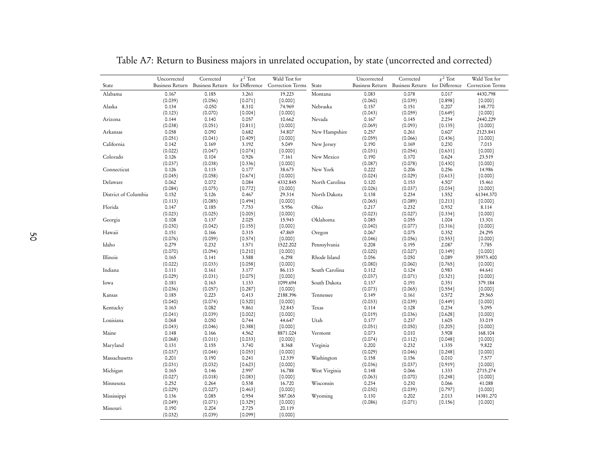| State                | Uncorrected<br><b>Business Return</b> | Corrected<br>Business Return for Difference | $\chi^2$ Test    | Wald Test for<br>Correction Terms | State          | Uncorrected<br>Business Return | Corrected<br>Business Return for Difference | $\chi^2$ Test      | Wald Test for<br>Correction Terms |
|----------------------|---------------------------------------|---------------------------------------------|------------------|-----------------------------------|----------------|--------------------------------|---------------------------------------------|--------------------|-----------------------------------|
| Alabama              | 0.167                                 | 0.185                                       | 3.261            | 19.223                            | Montana        | 0.083                          | 0.078                                       | 0.017              | 4430.798                          |
|                      | (0.039)                               | (0.056)                                     | [0.071]          | [0.000]                           |                | (0.060)                        | (0.039)                                     | [0.898]            | [0.000]                           |
| Alaska               | 0.134                                 | $-0.050$                                    | 8.310            | 74.969                            | Nebraska       | 0.157                          | 0.151                                       | 0.207              | 148.770                           |
|                      | (0.123)                               | (0.070)                                     | [0.004]          | [0.000]                           |                | (0.043)                        | (0.059)                                     | $[0.649]$          | [0.000]                           |
| Arizona              | 0.144                                 | 0.140                                       | 0.057            | 10.662                            | Nevada         | 0.167                          | 0.145                                       | 2.234              | 2440.229                          |
|                      | (0.038)                               | (0.051)                                     | $[0.811]$        | [0.000]                           |                | (0.069)                        | (0.093)                                     | [0.135]            | $[0.000]$                         |
| Arkansas             | 0.058                                 | 0.090                                       | 0.682            | 34.807                            | New Hampshire  | 0.257                          | 0.261                                       | 0.607              | 2123.841                          |
|                      | (0.051)                               | (0.041)                                     | $[0.409]$        | [0.000]                           |                | (0.059)                        | (0.066)                                     | $[0.436]$          | [0.000]                           |
| California           | 0.142                                 | 0.169                                       | 3.192            | 5.049                             | New Jersey     | 0.190                          | 0.169                                       | 0.230              | 7.013                             |
|                      | (0.022)                               | (0.047)                                     | [0.074]          | [0.000]                           |                | (0.031)                        | (0.054)                                     | $[0.631]$          | [0.000]                           |
| Colorado             | 0.126                                 | 0.104                                       | 0.926            | 7.161                             | New Mexico     | 0.190                          | 0.170                                       | 0.624              | 23.519                            |
|                      | (0.037)                               | (0.038)                                     | $[0.336]$        | [0.000]                           |                | (0.087)                        | (0.078)                                     | $[0.430]$          | [0.000]                           |
| Connecticut          | 0.126                                 | 0.115                                       | 0.177            | 38.673                            | New York       | 0.222                          | 0.206                                       | 0.256              | 14.986                            |
|                      | (0.045)                               | (0.058)                                     | $[0.674]$        | [0.000]                           |                | (0.024)                        | (0.029)                                     | $[0.613]$          | [0.000]                           |
| Delaware             | 0.062                                 | 0.072                                       | 0.084            | 4332.845                          | North Carolina | 0.120                          | 0.153                                       | 4.507              | 15.461                            |
|                      | (0.084)                               | (0.075)                                     | $[0.772]$        | [0.000]                           |                | (0.026)                        | (0.037)                                     | [0.034]            | [0.000]                           |
| District of Columbia | 0.152                                 | 0.126                                       | 0.467            | 29.314                            | North Dakota   | 0.138                          | 0.234                                       | 1.552              | 61344.370                         |
|                      | (0.113)                               | (0.085)                                     | $[0.494]$        | [0.000]                           |                | (0.065)                        | (0.089)                                     | [0.213]            | $[0.000]$                         |
| Florida              | 0.147                                 | 0.185                                       | 7.753            | 5.956                             | Ohio           | 0.217                          | 0.232                                       | 0.932              | 8.114                             |
|                      | (0.023)                               | (0.025)                                     | $[0.005]$        | [0.000]                           |                | (0.023)                        | (0.027)                                     | $[0.334]$          | $[0.000]$                         |
| Georgia              | 0.108                                 | 0.137                                       | 2.025            | 15.943                            | Oklahoma       | 0.085                          | 0.055                                       | 1.004              | 13.301                            |
|                      | (0.030)                               | (0.042)                                     | [0.155]          | [0.000]                           |                | (0.040)                        | (0.077)                                     | $[0.316]$          | [0.000]                           |
| Hawaii               | 0.151                                 | 0.166                                       | 0.315            | 47.869                            | Oregon         | 0.067                          | 0.075                                       | 0.352              | 24.295                            |
|                      | (0.076)                               | (0.059)                                     | $[0.574]$        | [0.000]                           |                | (0.046)                        | (0.056)                                     | $[0.553]$          | [0.000]                           |
| Idaho                | 0.279                                 | 0.232                                       | 1.571            | 1522.202                          | Pennsylvania   | 0.208                          | 0.195                                       | 2.087              | 7.785                             |
|                      | (0.070)                               | (0.094)                                     | $[0.210]$        | [0.000]                           |                | (0.020)                        | (0.027)                                     | $[0.149]$          | [0.000]                           |
| Illinois             | 0.165                                 | 0.141                                       | 3.588            | 6.298                             | Rhode Island   | 0.056                          | 0.050                                       | 0.089              | 35973.400                         |
|                      | (0.022)                               | (0.033)                                     | [0.058]          | [0.000]                           |                | (0.080)                        | (0.060)                                     | $[0.765]$          | [0.000]                           |
| Indiana              | 0.111                                 | 0.161                                       | 3.177            | 86.113                            | South Carolina | 0.112                          | 0.124                                       | 0.983              | 44.641                            |
|                      | (0.029)                               | (0.031)                                     | $[0.075]$        | [0.000]                           |                | (0.037)                        | (0.071)                                     | [0.321]            | [0.000]                           |
| Iowa                 | 0.181                                 | 0.163                                       | 1.133            | 1099.694                          | South Dakota   | 0.137                          | 0.191                                       | 0.351              | 379.184                           |
|                      | (0.036)                               | (0.057)                                     | [0.287]          | [0.000]                           |                | (0.073)                        | (0.065)                                     | $[0.554]$          | [0.000]                           |
| Kansas               | 0.185                                 | 0.223                                       | 0.413            | 2188.396                          | Tennessee      | 0.149                          | 0.161                                       | 0.572              | 29.565                            |
|                      | (0.040)                               | (0.074)                                     | $[0.520]$        | [0.000]                           |                | (0.033)                        | (0.039)                                     | $[0.449]$          | [0.000]                           |
| Kentucky             | 0.163                                 | 0.082                                       | 9.861            | 32.843                            | Texas          | 0.114                          | 0.128                                       | 0.234              | 5.095                             |
| Louisiana            | (0.041)                               | (0.039)                                     | [0.002]          | [0.000]                           | Utah           | (0.019)                        | (0.036)                                     | $[0.628]$          | [0.000]                           |
|                      | 0.068                                 | 0.050                                       | 0.744            | 44.647                            |                | 0.177                          | 0.237                                       | 1.605              | 33.019                            |
| Maine                | (0.043)<br>0.148                      | (0.046)<br>0.166                            | [0.388]<br>4.562 | [0.000]<br>8871.024               | Vermont        | (0.051)<br>0.073               | (0.050)<br>0.010                            | $[0.205]$<br>3.908 | [0.000]<br>168.104                |
|                      | (0.068)                               | (0.011)                                     | [0.033]          | [0.000]                           |                | (0.074)                        | (0.112)                                     | $[0.048]$          | [0.000]                           |
| Maryland             | 0.131                                 | 0.155                                       | 3.740            | 8.368                             | Virginia       | 0.200                          | 0.232                                       | 1.335              | 9.822                             |
|                      | (0.037)                               | (0.044)                                     | [0.053]          | [0.000]                           |                | (0.029)                        | (0.046)                                     | $[0.248]$          | [0.000]                           |
| Massachusetts        | 0.201                                 | 0.190                                       | 0.241            | 12.339                            | Washington     | 0.158                          | 0.156                                       | 0.010              | 7.577                             |
|                      | (0.031)                               | (0.032)                                     | [0.623]          | [0.000]                           |                | (0.036)                        | (0.037)                                     | $[0.919]$          | $[0.000]$                         |
| Michigan             | 0.165                                 | 0.146                                       | 2.997            | 16.788                            | West Virginia  | 0.148                          | 0.066                                       | 1.333              | 2715.274                          |
|                      | (0.027)                               | (0.018)                                     | [0.083]          | [0.000]                           |                | (0.063)                        | (0.070)                                     | $[0.248]$          | $[0.000]$                         |
| Minnesota            | 0.252                                 | 0.264                                       | 0.538            | 16.720                            | Wisconsin      | 0.234                          | 0.230                                       | 0.066              | 41.088                            |
|                      | (0.029)                               | (0.027)                                     | [0.463]          | [0.000]                           |                | (0.030)                        | (0.039)                                     | $[0.797]$          | [0.000]                           |
| Mississippi          | 0.136                                 | 0.085                                       | 0.954            | 587.065                           | Wyoming        | 0.130                          | 0.202                                       | 2.013              | 14381.270                         |
|                      | (0.049)                               | (0.071)                                     | $[0.329]$        | [0.000]                           |                | (0.086)                        | (0.071)                                     | $[0.156]$          | $[0.000]$                         |
| Missouri             | 0.190                                 | 0.204                                       | 2.725            | 20.119                            |                |                                |                                             |                    |                                   |
|                      | (0.032)                               | (0.039)                                     | [0.099]          | [0.000]                           |                |                                |                                             |                    |                                   |

Table A7: Return to Business majors in unrelated occupation, by state (uncorrected and corrected)